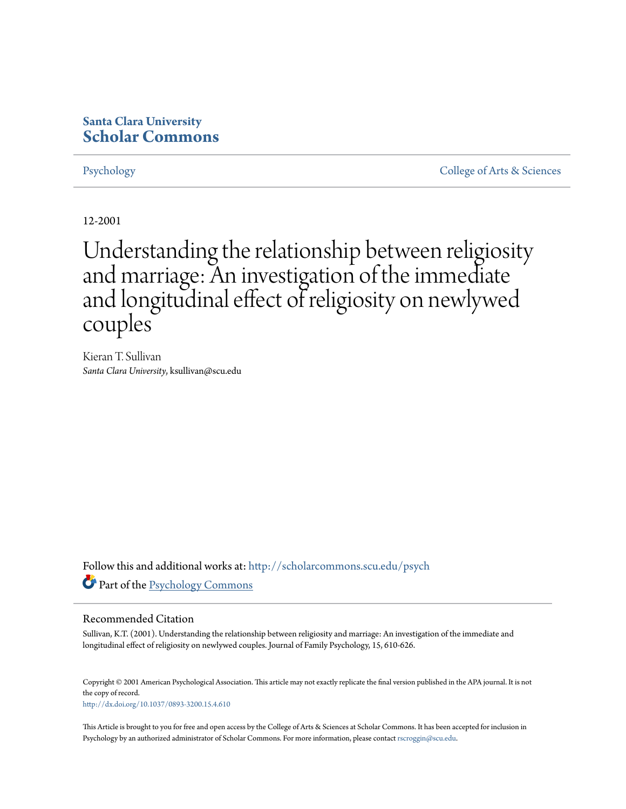# **Santa Clara University [Scholar Commons](http://scholarcommons.scu.edu?utm_source=scholarcommons.scu.edu%2Fpsych%2F14&utm_medium=PDF&utm_campaign=PDFCoverPages)**

[Psychology](http://scholarcommons.scu.edu/psych?utm_source=scholarcommons.scu.edu%2Fpsych%2F14&utm_medium=PDF&utm_campaign=PDFCoverPages) [College of Arts & Sciences](http://scholarcommons.scu.edu/cas?utm_source=scholarcommons.scu.edu%2Fpsych%2F14&utm_medium=PDF&utm_campaign=PDFCoverPages)

12-2001

# Understanding the relationship between religiosity and marriage: An investigation of the immediate and longitudinal effect of religiosity on newlywed couples

Kieran T. Sullivan *Santa Clara University*, ksullivan@scu.edu

Follow this and additional works at: [http://scholarcommons.scu.edu/psych](http://scholarcommons.scu.edu/psych?utm_source=scholarcommons.scu.edu%2Fpsych%2F14&utm_medium=PDF&utm_campaign=PDFCoverPages) Part of the [Psychology Commons](http://network.bepress.com/hgg/discipline/404?utm_source=scholarcommons.scu.edu%2Fpsych%2F14&utm_medium=PDF&utm_campaign=PDFCoverPages)

#### Recommended Citation

Sullivan, K.T. (2001). Understanding the relationship between religiosity and marriage: An investigation of the immediate and longitudinal effect of religiosity on newlywed couples. Journal of Family Psychology, 15, 610-626.

Copyright © 2001 American Psychological Association. This article may not exactly replicate the final version published in the APA journal. It is not the copy of record. <http://dx.doi.org/10.1037/0893-3200.15.4.610>

This Article is brought to you for free and open access by the College of Arts & Sciences at Scholar Commons. It has been accepted for inclusion in Psychology by an authorized administrator of Scholar Commons. For more information, please contact [rscroggin@scu.edu](mailto:rscroggin@scu.edu).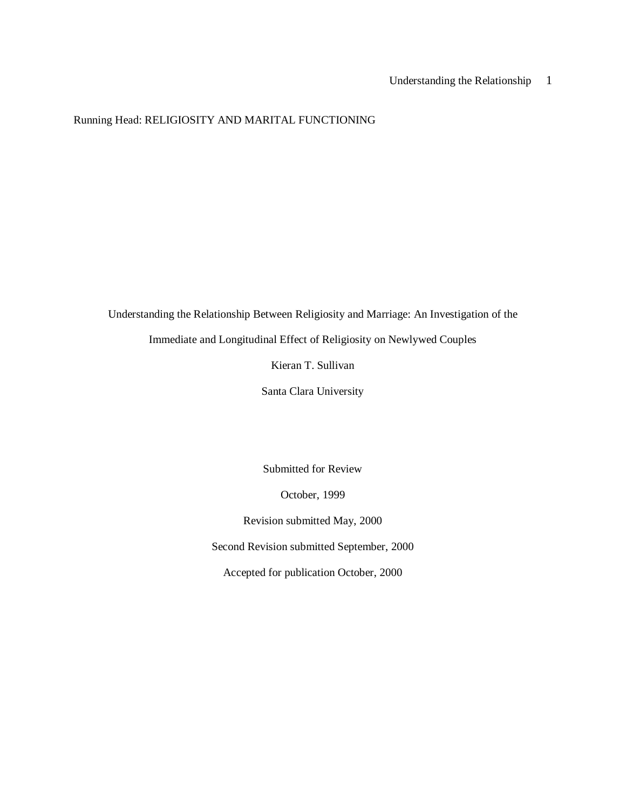## Running Head: RELIGIOSITY AND MARITAL FUNCTIONING

Understanding the Relationship Between Religiosity and Marriage: An Investigation of the

Immediate and Longitudinal Effect of Religiosity on Newlywed Couples

Kieran T. Sullivan

Santa Clara University

Submitted for Review

October, 1999

Revision submitted May, 2000

Second Revision submitted September, 2000

Accepted for publication October, 2000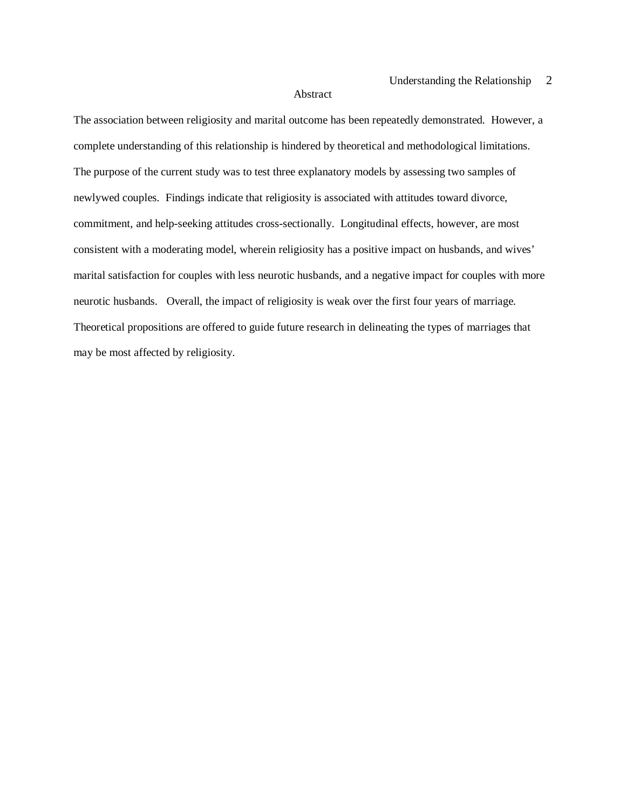#### Abstract

The association between religiosity and marital outcome has been repeatedly demonstrated. However, a complete understanding of this relationship is hindered by theoretical and methodological limitations. The purpose of the current study was to test three explanatory models by assessing two samples of newlywed couples. Findings indicate that religiosity is associated with attitudes toward divorce, commitment, and help-seeking attitudes cross-sectionally. Longitudinal effects, however, are most consistent with a moderating model, wherein religiosity has a positive impact on husbands, and wives' marital satisfaction for couples with less neurotic husbands, and a negative impact for couples with more neurotic husbands. Overall, the impact of religiosity is weak over the first four years of marriage. Theoretical propositions are offered to guide future research in delineating the types of marriages that may be most affected by religiosity.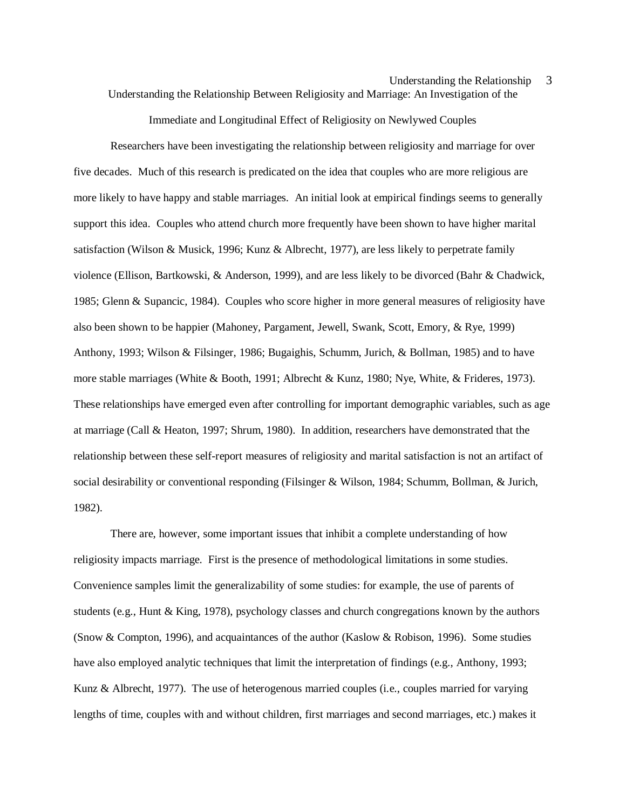Understanding the Relationship Between Religiosity and Marriage: An Investigation of the

Immediate and Longitudinal Effect of Religiosity on Newlywed Couples

Researchers have been investigating the relationship between religiosity and marriage for over five decades. Much of this research is predicated on the idea that couples who are more religious are more likely to have happy and stable marriages. An initial look at empirical findings seems to generally support this idea. Couples who attend church more frequently have been shown to have higher marital satisfaction (Wilson & Musick, 1996; Kunz & Albrecht, 1977), are less likely to perpetrate family violence (Ellison, Bartkowski, & Anderson, 1999), and are less likely to be divorced (Bahr & Chadwick, 1985; Glenn & Supancic, 1984). Couples who score higher in more general measures of religiosity have also been shown to be happier (Mahoney, Pargament, Jewell, Swank, Scott, Emory, & Rye, 1999) Anthony, 1993; Wilson & Filsinger, 1986; Bugaighis, Schumm, Jurich, & Bollman, 1985) and to have more stable marriages (White & Booth, 1991; Albrecht & Kunz, 1980; Nye, White, & Frideres, 1973). These relationships have emerged even after controlling for important demographic variables, such as age at marriage (Call & Heaton, 1997; Shrum, 1980). In addition, researchers have demonstrated that the relationship between these self-report measures of religiosity and marital satisfaction is not an artifact of social desirability or conventional responding (Filsinger & Wilson, 1984; Schumm, Bollman, & Jurich, 1982).

There are, however, some important issues that inhibit a complete understanding of how religiosity impacts marriage. First is the presence of methodological limitations in some studies. Convenience samples limit the generalizability of some studies: for example, the use of parents of students (e.g., Hunt & King, 1978), psychology classes and church congregations known by the authors (Snow & Compton, 1996), and acquaintances of the author (Kaslow & Robison, 1996). Some studies have also employed analytic techniques that limit the interpretation of findings (e.g., Anthony, 1993; Kunz & Albrecht, 1977). The use of heterogenous married couples (i.e., couples married for varying lengths of time, couples with and without children, first marriages and second marriages, etc.) makes it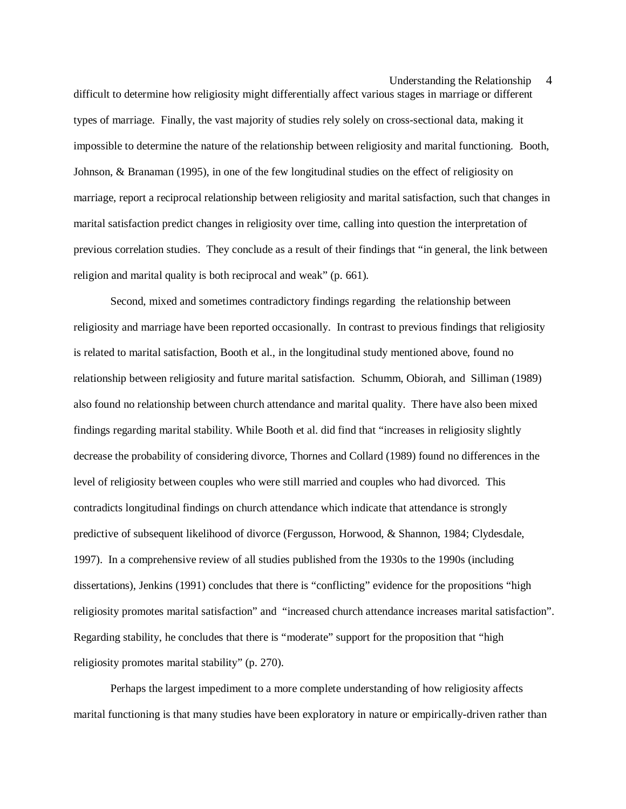difficult to determine how religiosity might differentially affect various stages in marriage or different types of marriage. Finally, the vast majority of studies rely solely on cross-sectional data, making it impossible to determine the nature of the relationship between religiosity and marital functioning. Booth, Johnson, & Branaman (1995), in one of the few longitudinal studies on the effect of religiosity on marriage, report a reciprocal relationship between religiosity and marital satisfaction, such that changes in marital satisfaction predict changes in religiosity over time, calling into question the interpretation of previous correlation studies. They conclude as a result of their findings that "in general, the link between religion and marital quality is both reciprocal and weak" (p. 661).

Second, mixed and sometimes contradictory findings regarding the relationship between religiosity and marriage have been reported occasionally. In contrast to previous findings that religiosity is related to marital satisfaction, Booth et al., in the longitudinal study mentioned above, found no relationship between religiosity and future marital satisfaction. Schumm, Obiorah, and Silliman (1989) also found no relationship between church attendance and marital quality. There have also been mixed findings regarding marital stability. While Booth et al. did find that "increases in religiosity slightly decrease the probability of considering divorce, Thornes and Collard (1989) found no differences in the level of religiosity between couples who were still married and couples who had divorced. This contradicts longitudinal findings on church attendance which indicate that attendance is strongly predictive of subsequent likelihood of divorce (Fergusson, Horwood, & Shannon, 1984; Clydesdale, 1997). In a comprehensive review of all studies published from the 1930s to the 1990s (including dissertations), Jenkins (1991) concludes that there is "conflicting" evidence for the propositions "high religiosity promotes marital satisfaction" and "increased church attendance increases marital satisfaction". Regarding stability, he concludes that there is "moderate" support for the proposition that "high religiosity promotes marital stability" (p. 270).

Perhaps the largest impediment to a more complete understanding of how religiosity affects marital functioning is that many studies have been exploratory in nature or empirically-driven rather than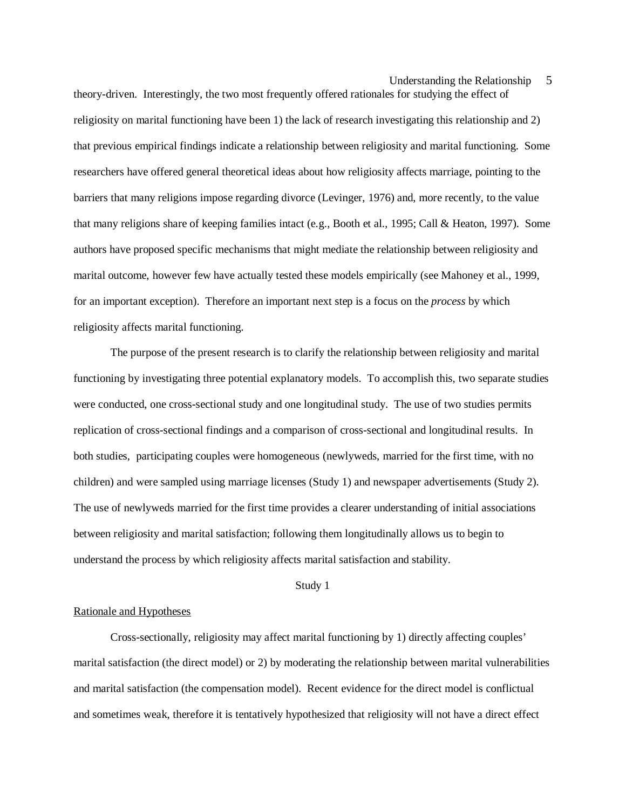theory-driven. Interestingly, the two most frequently offered rationales for studying the effect of religiosity on marital functioning have been 1) the lack of research investigating this relationship and 2) that previous empirical findings indicate a relationship between religiosity and marital functioning. Some researchers have offered general theoretical ideas about how religiosity affects marriage, pointing to the barriers that many religions impose regarding divorce (Levinger, 1976) and, more recently, to the value that many religions share of keeping families intact (e.g., Booth et al., 1995; Call & Heaton, 1997). Some authors have proposed specific mechanisms that might mediate the relationship between religiosity and marital outcome, however few have actually tested these models empirically (see Mahoney et al., 1999, for an important exception). Therefore an important next step is a focus on the *process* by which religiosity affects marital functioning.

The purpose of the present research is to clarify the relationship between religiosity and marital functioning by investigating three potential explanatory models. To accomplish this, two separate studies were conducted, one cross-sectional study and one longitudinal study. The use of two studies permits replication of cross-sectional findings and a comparison of cross-sectional and longitudinal results. In both studies, participating couples were homogeneous (newlyweds, married for the first time, with no children) and were sampled using marriage licenses (Study 1) and newspaper advertisements (Study 2). The use of newlyweds married for the first time provides a clearer understanding of initial associations between religiosity and marital satisfaction; following them longitudinally allows us to begin to understand the process by which religiosity affects marital satisfaction and stability.

#### Study 1

#### Rationale and Hypotheses

Cross-sectionally, religiosity may affect marital functioning by 1) directly affecting couples' marital satisfaction (the direct model) or 2) by moderating the relationship between marital vulnerabilities and marital satisfaction (the compensation model). Recent evidence for the direct model is conflictual and sometimes weak, therefore it is tentatively hypothesized that religiosity will not have a direct effect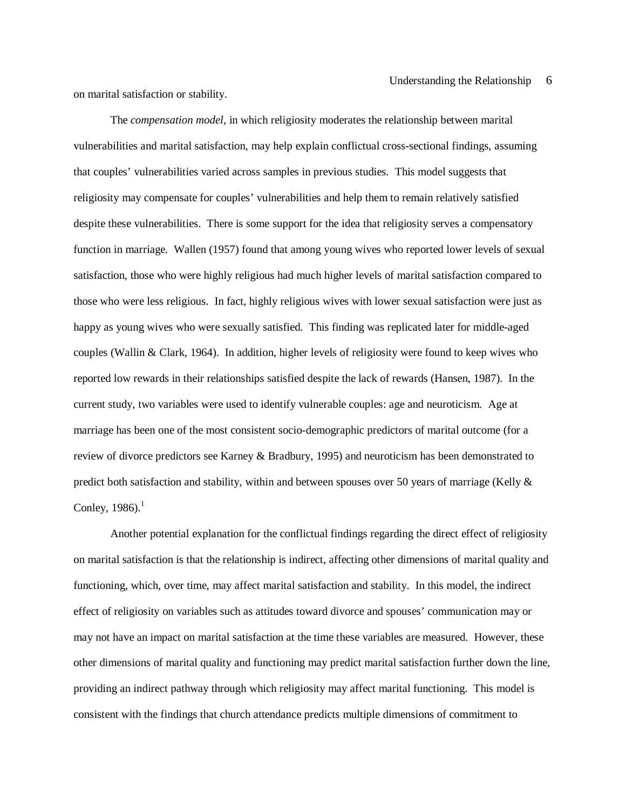on marital satisfaction or stability.

The *compensation model*, in which religiosity moderates the relationship between marital vulnerabilities and marital satisfaction, may help explain conflictual cross-sectional findings, assuming that couples' vulnerabilities varied across samples in previous studies. This model suggests that religiosity may compensate for couples' vulnerabilities and help them to remain relatively satisfied despite these vulnerabilities. There is some support for the idea that religiosity serves a compensatory function in marriage. Wallen (1957) found that among young wives who reported lower levels of sexual satisfaction, those who were highly religious had much higher levels of marital satisfaction compared to those who were less religious. In fact, highly religious wives with lower sexual satisfaction were just as happy as young wives who were sexually satisfied. This finding was replicated later for middle-aged couples (Wallin & Clark, 1964). In addition, higher levels of religiosity were found to keep wives who reported low rewards in their relationships satisfied despite the lack of rewards (Hansen, 1987). In the current study, two variables were used to identify vulnerable couples: age and neuroticism. Age at marriage has been one of the most consistent socio-demographic predictors of marital outcome (for a review of divorce predictors see Karney & Bradbury, 1995) and neuroticism has been demonstrated to predict both satisfaction and stability, within and between spouses over 50 years of marriage (Kelly & Conley,  $1986$ .<sup>1</sup>

Another potential explanation for the conflictual findings regarding the direct effect of religiosity on marital satisfaction is that the relationship is indirect, affecting other dimensions of marital quality and functioning, which, over time, may affect marital satisfaction and stability. In this model, the indirect effect of religiosity on variables such as attitudes toward divorce and spouses' communication may or may not have an impact on marital satisfaction at the time these variables are measured. However, these other dimensions of marital quality and functioning may predict marital satisfaction further down the line, providing an indirect pathway through which religiosity may affect marital functioning. This model is consistent with the findings that church attendance predicts multiple dimensions of commitment to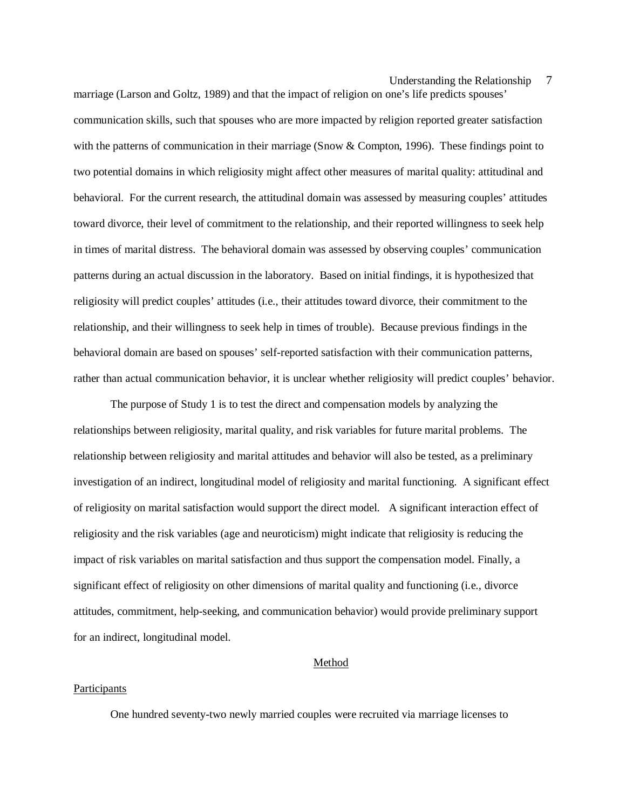marriage (Larson and Goltz, 1989) and that the impact of religion on one's life predicts spouses' communication skills, such that spouses who are more impacted by religion reported greater satisfaction with the patterns of communication in their marriage (Snow & Compton, 1996). These findings point to two potential domains in which religiosity might affect other measures of marital quality: attitudinal and behavioral. For the current research, the attitudinal domain was assessed by measuring couples' attitudes toward divorce, their level of commitment to the relationship, and their reported willingness to seek help in times of marital distress. The behavioral domain was assessed by observing couples' communication patterns during an actual discussion in the laboratory. Based on initial findings, it is hypothesized that religiosity will predict couples' attitudes (i.e., their attitudes toward divorce, their commitment to the relationship, and their willingness to seek help in times of trouble). Because previous findings in the behavioral domain are based on spouses' self-reported satisfaction with their communication patterns, rather than actual communication behavior, it is unclear whether religiosity will predict couples' behavior.

The purpose of Study 1 is to test the direct and compensation models by analyzing the relationships between religiosity, marital quality, and risk variables for future marital problems. The relationship between religiosity and marital attitudes and behavior will also be tested, as a preliminary investigation of an indirect, longitudinal model of religiosity and marital functioning. A significant effect of religiosity on marital satisfaction would support the direct model. A significant interaction effect of religiosity and the risk variables (age and neuroticism) might indicate that religiosity is reducing the impact of risk variables on marital satisfaction and thus support the compensation model. Finally, a significant effect of religiosity on other dimensions of marital quality and functioning (i.e., divorce attitudes, commitment, help-seeking, and communication behavior) would provide preliminary support for an indirect, longitudinal model.

#### Method

#### **Participants**

One hundred seventy-two newly married couples were recruited via marriage licenses to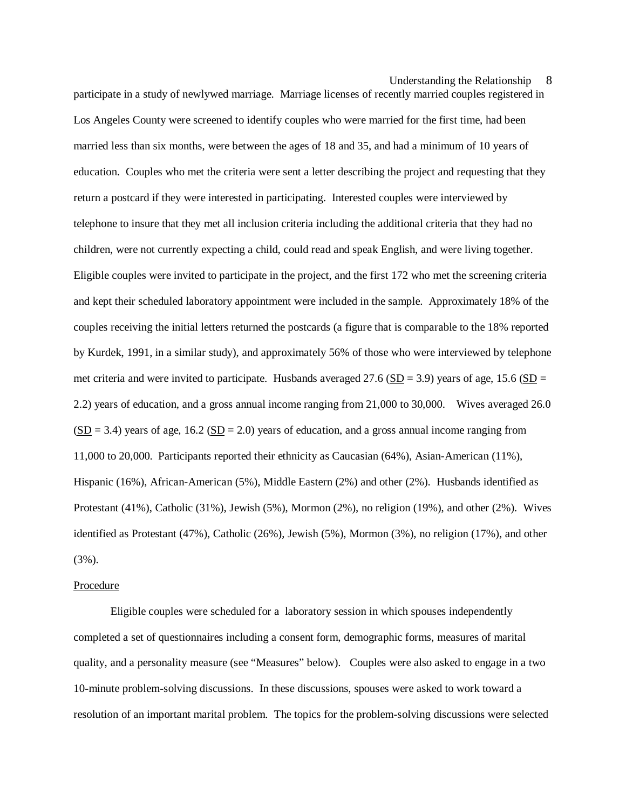participate in a study of newlywed marriage. Marriage licenses of recently married couples registered in Los Angeles County were screened to identify couples who were married for the first time, had been married less than six months, were between the ages of 18 and 35, and had a minimum of 10 years of education. Couples who met the criteria were sent a letter describing the project and requesting that they return a postcard if they were interested in participating. Interested couples were interviewed by telephone to insure that they met all inclusion criteria including the additional criteria that they had no children, were not currently expecting a child, could read and speak English, and were living together. Eligible couples were invited to participate in the project, and the first 172 who met the screening criteria and kept their scheduled laboratory appointment were included in the sample. Approximately 18% of the couples receiving the initial letters returned the postcards (a figure that is comparable to the 18% reported by Kurdek, 1991, in a similar study), and approximately 56% of those who were interviewed by telephone met criteria and were invited to participate. Husbands averaged 27.6 (SD = 3.9) years of age, 15.6 (SD = 2.2) years of education, and a gross annual income ranging from 21,000 to 30,000. Wives averaged 26.0  $(SD = 3.4)$  years of age, 16.2  $(SD = 2.0)$  years of education, and a gross annual income ranging from 11,000 to 20,000. Participants reported their ethnicity as Caucasian (64%), Asian-American (11%), Hispanic (16%), African-American (5%), Middle Eastern (2%) and other (2%). Husbands identified as Protestant (41%), Catholic (31%), Jewish (5%), Mormon (2%), no religion (19%), and other (2%). Wives identified as Protestant (47%), Catholic (26%), Jewish (5%), Mormon (3%), no religion (17%), and other (3%).

#### Procedure

Eligible couples were scheduled for a laboratory session in which spouses independently completed a set of questionnaires including a consent form, demographic forms, measures of marital quality, and a personality measure (see "Measures" below). Couples were also asked to engage in a two 10-minute problem-solving discussions. In these discussions, spouses were asked to work toward a resolution of an important marital problem. The topics for the problem-solving discussions were selected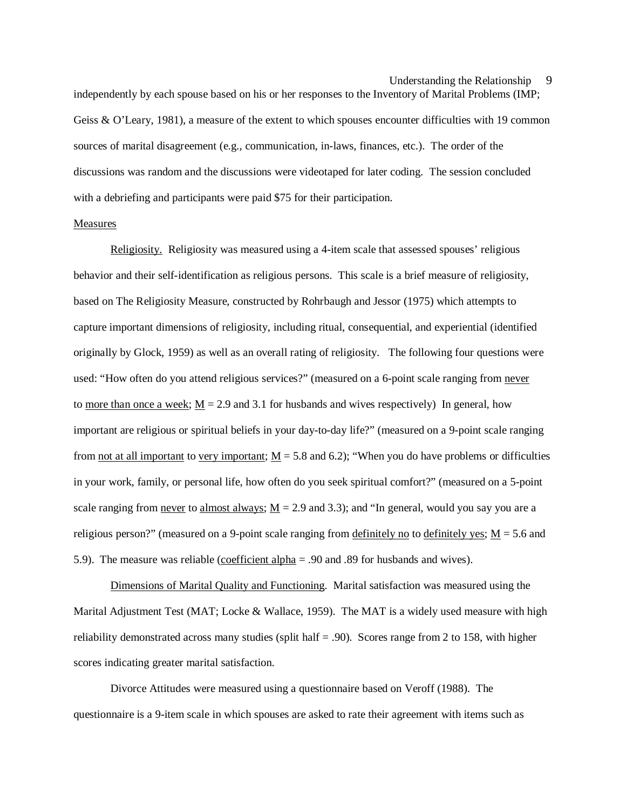independently by each spouse based on his or her responses to the Inventory of Marital Problems (IMP; Geiss & O'Leary, 1981), a measure of the extent to which spouses encounter difficulties with 19 common sources of marital disagreement (e.g., communication, in-laws, finances, etc.). The order of the discussions was random and the discussions were videotaped for later coding. The session concluded with a debriefing and participants were paid \$75 for their participation.

#### Measures

Religiosity. Religiosity was measured using a 4-item scale that assessed spouses' religious behavior and their self-identification as religious persons. This scale is a brief measure of religiosity, based on The Religiosity Measure, constructed by Rohrbaugh and Jessor (1975) which attempts to capture important dimensions of religiosity, including ritual, consequential, and experiential (identified originally by Glock, 1959) as well as an overall rating of religiosity. The following four questions were used: "How often do you attend religious services?" (measured on a 6-point scale ranging from never to more than once a week;  $M = 2.9$  and 3.1 for husbands and wives respectively) In general, how important are religious or spiritual beliefs in your day-to-day life?" (measured on a 9-point scale ranging from not at all important to very important;  $M = 5.8$  and 6.2); "When you do have problems or difficulties in your work, family, or personal life, how often do you seek spiritual comfort?" (measured on a 5-point scale ranging from never to almost always;  $M = 2.9$  and 3.3); and "In general, would you say you are a religious person?" (measured on a 9-point scale ranging from definitely no to definitely yes;  $M = 5.6$  and 5.9). The measure was reliable (coefficient alpha = .90 and .89 for husbands and wives).

Dimensions of Marital Quality and Functioning. Marital satisfaction was measured using the Marital Adjustment Test (MAT; Locke & Wallace, 1959). The MAT is a widely used measure with high reliability demonstrated across many studies (split half  $= 0.90$ ). Scores range from 2 to 158, with higher scores indicating greater marital satisfaction.

Divorce Attitudes were measured using a questionnaire based on Veroff (1988). The questionnaire is a 9-item scale in which spouses are asked to rate their agreement with items such as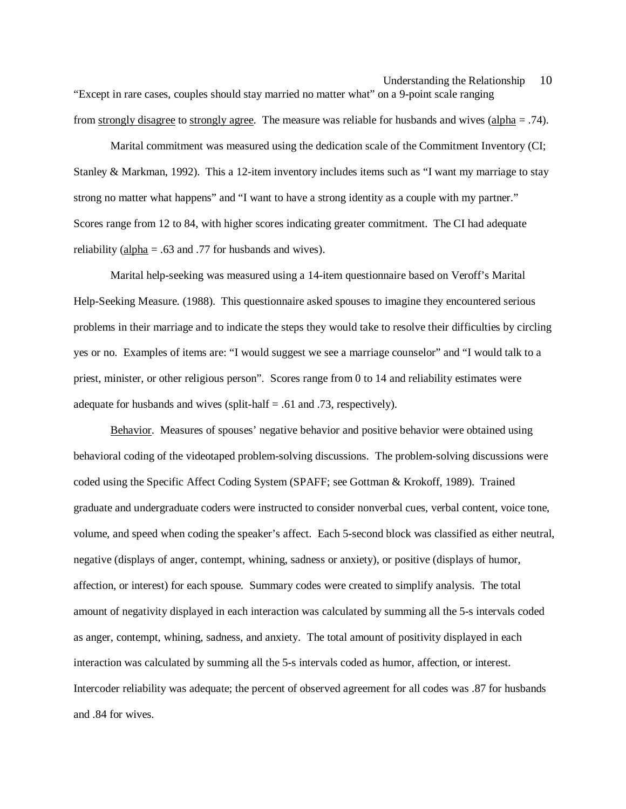Understanding the Relationship 10 "Except in rare cases, couples should stay married no matter what" on a 9-point scale ranging from strongly disagree to strongly agree. The measure was reliable for husbands and wives (alpha = .74).

Marital commitment was measured using the dedication scale of the Commitment Inventory (CI; Stanley & Markman, 1992). This a 12-item inventory includes items such as "I want my marriage to stay strong no matter what happens" and "I want to have a strong identity as a couple with my partner." Scores range from 12 to 84, with higher scores indicating greater commitment. The CI had adequate reliability ( $\frac{\text{alpha}}{\text{theta}} = .63$  and .77 for husbands and wives).

Marital help-seeking was measured using a 14-item questionnaire based on Veroff's Marital Help-Seeking Measure. (1988). This questionnaire asked spouses to imagine they encountered serious problems in their marriage and to indicate the steps they would take to resolve their difficulties by circling yes or no. Examples of items are: "I would suggest we see a marriage counselor" and "I would talk to a priest, minister, or other religious person". Scores range from 0 to 14 and reliability estimates were adequate for husbands and wives (split-half  $= .61$  and .73, respectively).

Behavior. Measures of spouses' negative behavior and positive behavior were obtained using behavioral coding of the videotaped problem-solving discussions. The problem-solving discussions were coded using the Specific Affect Coding System (SPAFF; see Gottman & Krokoff, 1989). Trained graduate and undergraduate coders were instructed to consider nonverbal cues, verbal content, voice tone, volume, and speed when coding the speaker's affect. Each 5-second block was classified as either neutral, negative (displays of anger, contempt, whining, sadness or anxiety), or positive (displays of humor, affection, or interest) for each spouse. Summary codes were created to simplify analysis. The total amount of negativity displayed in each interaction was calculated by summing all the 5-s intervals coded as anger, contempt, whining, sadness, and anxiety. The total amount of positivity displayed in each interaction was calculated by summing all the 5-s intervals coded as humor, affection, or interest. Intercoder reliability was adequate; the percent of observed agreement for all codes was .87 for husbands and .84 for wives.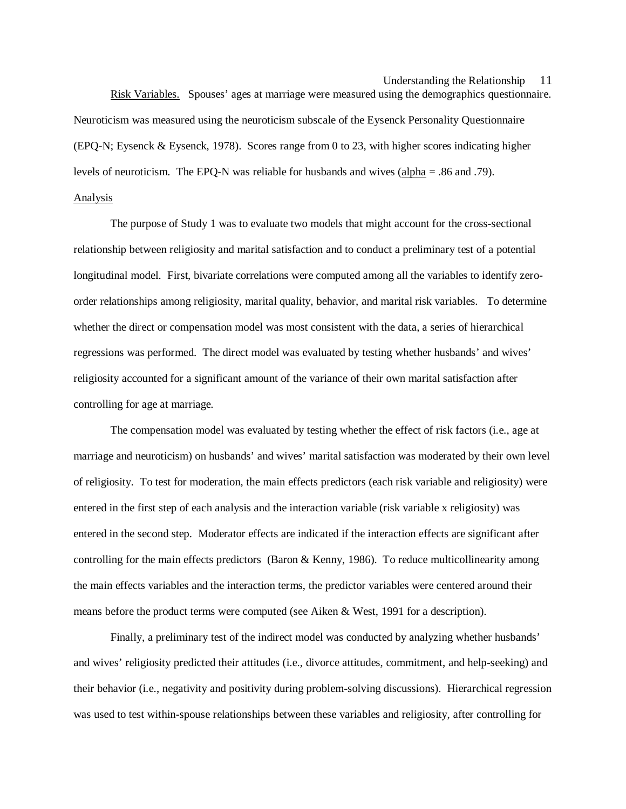Risk Variables. Spouses' ages at marriage were measured using the demographics questionnaire. Neuroticism was measured using the neuroticism subscale of the Eysenck Personality Questionnaire (EPQ-N; Eysenck & Eysenck, 1978). Scores range from 0 to 23, with higher scores indicating higher levels of neuroticism. The EPQ-N was reliable for husbands and wives  $\frac{\text{alpha}}{\text{pha}} = .86$  and .79). Analysis

The purpose of Study 1 was to evaluate two models that might account for the cross-sectional relationship between religiosity and marital satisfaction and to conduct a preliminary test of a potential longitudinal model. First, bivariate correlations were computed among all the variables to identify zeroorder relationships among religiosity, marital quality, behavior, and marital risk variables. To determine whether the direct or compensation model was most consistent with the data, a series of hierarchical regressions was performed. The direct model was evaluated by testing whether husbands' and wives' religiosity accounted for a significant amount of the variance of their own marital satisfaction after controlling for age at marriage.

The compensation model was evaluated by testing whether the effect of risk factors (i.e., age at marriage and neuroticism) on husbands' and wives' marital satisfaction was moderated by their own level of religiosity. To test for moderation, the main effects predictors (each risk variable and religiosity) were entered in the first step of each analysis and the interaction variable (risk variable x religiosity) was entered in the second step. Moderator effects are indicated if the interaction effects are significant after controlling for the main effects predictors (Baron & Kenny, 1986). To reduce multicollinearity among the main effects variables and the interaction terms, the predictor variables were centered around their means before the product terms were computed (see Aiken & West, 1991 for a description).

Finally, a preliminary test of the indirect model was conducted by analyzing whether husbands' and wives' religiosity predicted their attitudes (i.e., divorce attitudes, commitment, and help-seeking) and their behavior (i.e., negativity and positivity during problem-solving discussions). Hierarchical regression was used to test within-spouse relationships between these variables and religiosity, after controlling for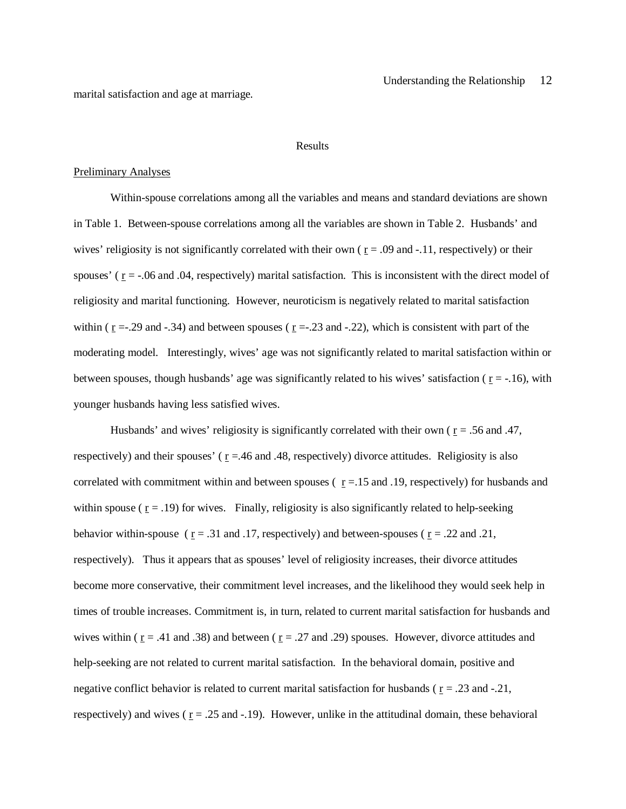marital satisfaction and age at marriage.

#### Results

#### Preliminary Analyses

Within-spouse correlations among all the variables and means and standard deviations are shown in Table 1. Between-spouse correlations among all the variables are shown in Table 2. Husbands' and wives' religiosity is not significantly correlated with their own ( $r = .09$  and  $-.11$ , respectively) or their spouses' ( $r = -0.06$  and  $0.04$ , respectively) marital satisfaction. This is inconsistent with the direct model of religiosity and marital functioning. However, neuroticism is negatively related to marital satisfaction within ( $r = -0.29$  and  $-0.34$ ) and between spouses ( $r = -0.23$  and  $-0.22$ ), which is consistent with part of the moderating model. Interestingly, wives' age was not significantly related to marital satisfaction within or between spouses, though husbands' age was significantly related to his wives' satisfaction ( $r = -16$ ), with younger husbands having less satisfied wives.

Husbands' and wives' religiosity is significantly correlated with their own ( $r = .56$  and .47, respectively) and their spouses' ( $r = .46$  and .48, respectively) divorce attitudes. Religiosity is also correlated with commitment within and between spouses ( $r = 15$  and .19, respectively) for husbands and within spouse ( $r = .19$ ) for wives. Finally, religiosity is also significantly related to help-seeking behavior within-spouse ( $r = .31$  and .17, respectively) and between-spouses ( $r = .22$  and .21, respectively). Thus it appears that as spouses' level of religiosity increases, their divorce attitudes become more conservative, their commitment level increases, and the likelihood they would seek help in times of trouble increases. Commitment is, in turn, related to current marital satisfaction for husbands and wives within ( $r = .41$  and .38) and between ( $r = .27$  and .29) spouses. However, divorce attitudes and help-seeking are not related to current marital satisfaction. In the behavioral domain, positive and negative conflict behavior is related to current marital satisfaction for husbands ( $r = .23$  and  $-.21$ , respectively) and wives ( $r = .25$  and  $-.19$ ). However, unlike in the attitudinal domain, these behavioral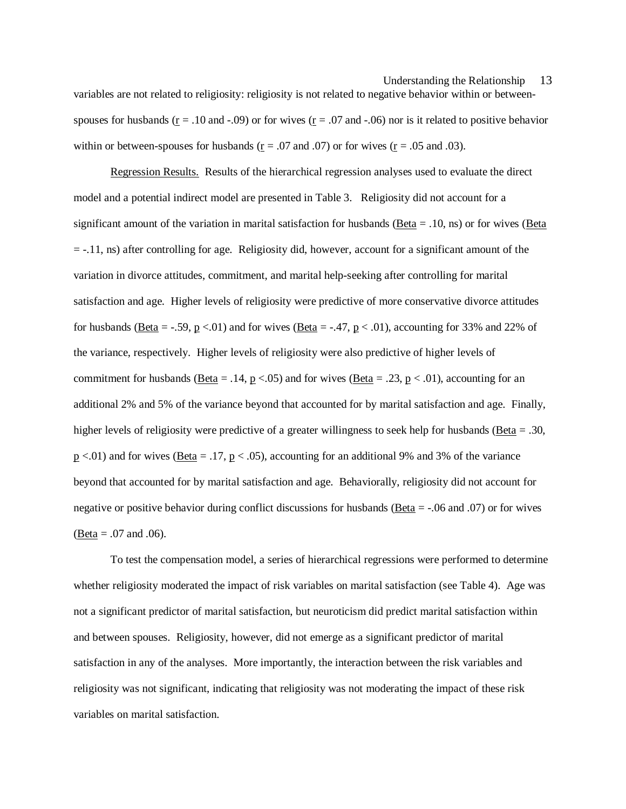variables are not related to religiosity: religiosity is not related to negative behavior within or betweenspouses for husbands ( $r = .10$  and  $-.09$ ) or for wives ( $r = .07$  and  $-.06$ ) nor is it related to positive behavior within or between-spouses for husbands ( $\underline{r} = .07$  and .07) or for wives ( $\underline{r} = .05$  and .03).

Regression Results. Results of the hierarchical regression analyses used to evaluate the direct model and a potential indirect model are presented in Table 3. Religiosity did not account for a significant amount of the variation in marital satisfaction for husbands (Beta = .10, ns) or for wives (Beta  $= -.11$ , ns) after controlling for age. Religiosity did, however, account for a significant amount of the variation in divorce attitudes, commitment, and marital help-seeking after controlling for marital satisfaction and age. Higher levels of religiosity were predictive of more conservative divorce attitudes for husbands (Beta = -.59, p <.01) and for wives (Beta = -.47, p < .01), accounting for 33% and 22% of the variance, respectively. Higher levels of religiosity were also predictive of higher levels of commitment for husbands (Beta = .14, p <.05) and for wives (Beta = .23, p < .01), accounting for an additional 2% and 5% of the variance beyond that accounted for by marital satisfaction and age. Finally, higher levels of religiosity were predictive of a greater willingness to seek help for husbands (Beta = .30,  $p \lt 0.01$ ) and for wives (Beta = .17,  $p \lt 0.05$ ), accounting for an additional 9% and 3% of the variance beyond that accounted for by marital satisfaction and age. Behaviorally, religiosity did not account for negative or positive behavior during conflict discussions for husbands (Beta = -.06 and .07) or for wives  $(Beta = .07$  and  $.06)$ .

To test the compensation model, a series of hierarchical regressions were performed to determine whether religiosity moderated the impact of risk variables on marital satisfaction (see Table 4). Age was not a significant predictor of marital satisfaction, but neuroticism did predict marital satisfaction within and between spouses. Religiosity, however, did not emerge as a significant predictor of marital satisfaction in any of the analyses. More importantly, the interaction between the risk variables and religiosity was not significant, indicating that religiosity was not moderating the impact of these risk variables on marital satisfaction.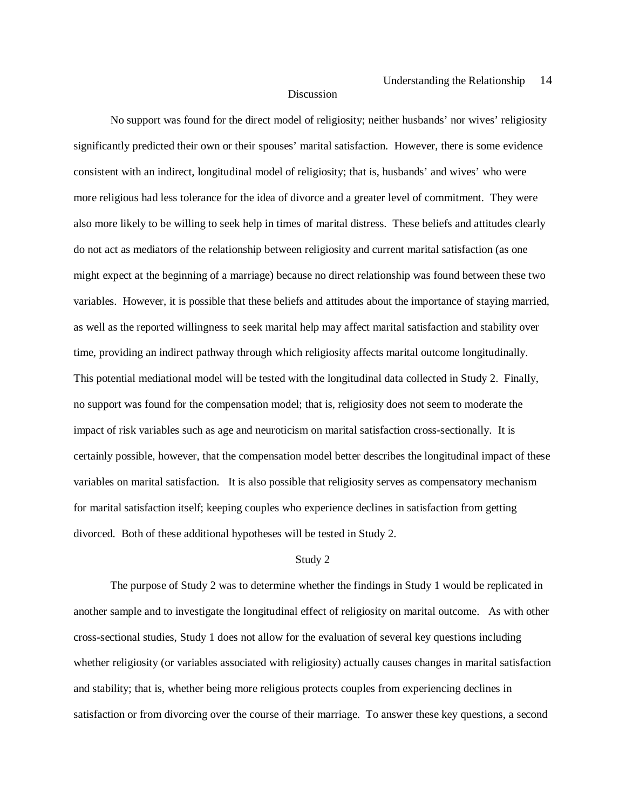#### **Discussion**

No support was found for the direct model of religiosity; neither husbands' nor wives' religiosity significantly predicted their own or their spouses' marital satisfaction. However, there is some evidence consistent with an indirect, longitudinal model of religiosity; that is, husbands' and wives' who were more religious had less tolerance for the idea of divorce and a greater level of commitment. They were also more likely to be willing to seek help in times of marital distress. These beliefs and attitudes clearly do not act as mediators of the relationship between religiosity and current marital satisfaction (as one might expect at the beginning of a marriage) because no direct relationship was found between these two variables. However, it is possible that these beliefs and attitudes about the importance of staying married, as well as the reported willingness to seek marital help may affect marital satisfaction and stability over time, providing an indirect pathway through which religiosity affects marital outcome longitudinally. This potential mediational model will be tested with the longitudinal data collected in Study 2. Finally, no support was found for the compensation model; that is, religiosity does not seem to moderate the impact of risk variables such as age and neuroticism on marital satisfaction cross-sectionally. It is certainly possible, however, that the compensation model better describes the longitudinal impact of these variables on marital satisfaction. It is also possible that religiosity serves as compensatory mechanism for marital satisfaction itself; keeping couples who experience declines in satisfaction from getting divorced. Both of these additional hypotheses will be tested in Study 2.

#### Study 2

The purpose of Study 2 was to determine whether the findings in Study 1 would be replicated in another sample and to investigate the longitudinal effect of religiosity on marital outcome. As with other cross-sectional studies, Study 1 does not allow for the evaluation of several key questions including whether religiosity (or variables associated with religiosity) actually causes changes in marital satisfaction and stability; that is, whether being more religious protects couples from experiencing declines in satisfaction or from divorcing over the course of their marriage. To answer these key questions, a second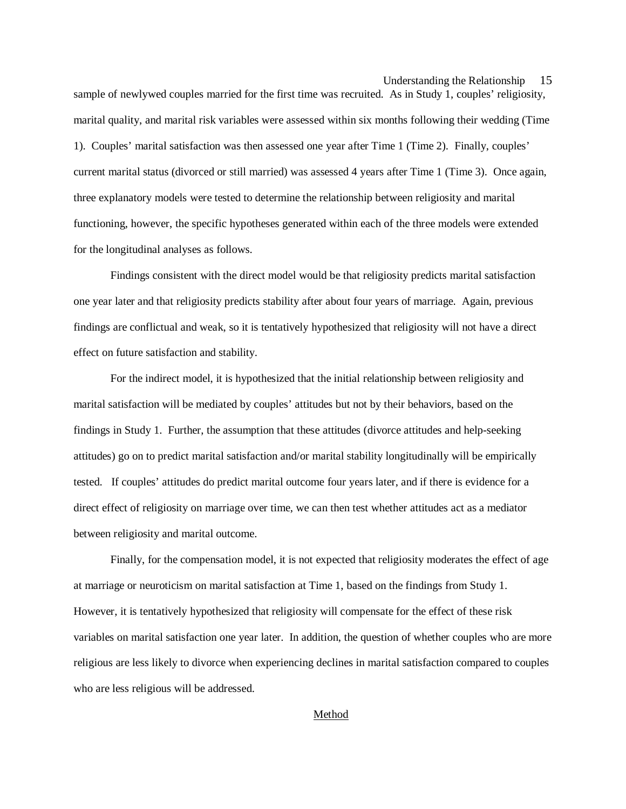sample of newlywed couples married for the first time was recruited. As in Study 1, couples' religiosity, marital quality, and marital risk variables were assessed within six months following their wedding (Time 1). Couples' marital satisfaction was then assessed one year after Time 1 (Time 2). Finally, couples' current marital status (divorced or still married) was assessed 4 years after Time 1 (Time 3). Once again, three explanatory models were tested to determine the relationship between religiosity and marital functioning, however, the specific hypotheses generated within each of the three models were extended for the longitudinal analyses as follows.

Findings consistent with the direct model would be that religiosity predicts marital satisfaction one year later and that religiosity predicts stability after about four years of marriage. Again, previous findings are conflictual and weak, so it is tentatively hypothesized that religiosity will not have a direct effect on future satisfaction and stability.

For the indirect model, it is hypothesized that the initial relationship between religiosity and marital satisfaction will be mediated by couples' attitudes but not by their behaviors, based on the findings in Study 1. Further, the assumption that these attitudes (divorce attitudes and help-seeking attitudes) go on to predict marital satisfaction and/or marital stability longitudinally will be empirically tested. If couples' attitudes do predict marital outcome four years later, and if there is evidence for a direct effect of religiosity on marriage over time, we can then test whether attitudes act as a mediator between religiosity and marital outcome.

Finally, for the compensation model, it is not expected that religiosity moderates the effect of age at marriage or neuroticism on marital satisfaction at Time 1, based on the findings from Study 1. However, it is tentatively hypothesized that religiosity will compensate for the effect of these risk variables on marital satisfaction one year later. In addition, the question of whether couples who are more religious are less likely to divorce when experiencing declines in marital satisfaction compared to couples who are less religious will be addressed.

#### Method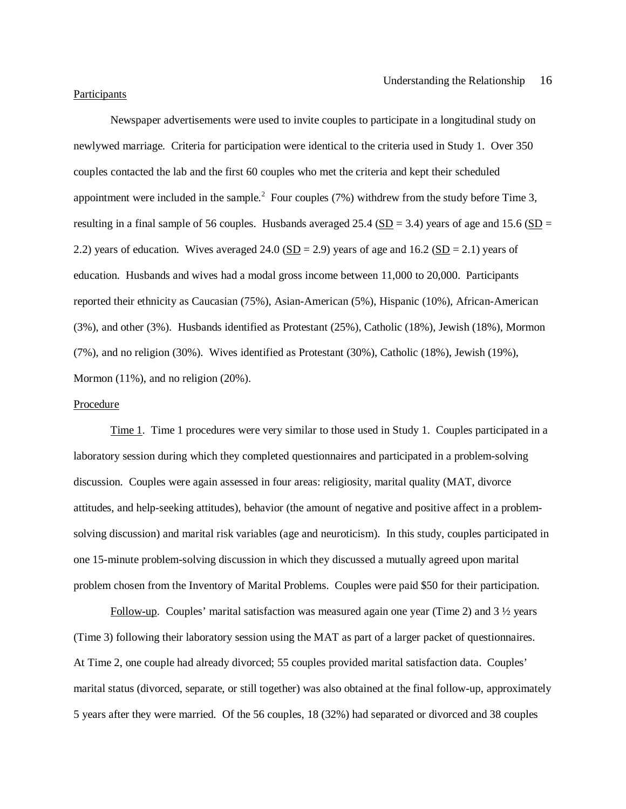#### Participants

Newspaper advertisements were used to invite couples to participate in a longitudinal study on newlywed marriage. Criteria for participation were identical to the criteria used in Study 1. Over 350 couples contacted the lab and the first 60 couples who met the criteria and kept their scheduled appointment were included in the sample.<sup>2</sup> Four couples (7%) withdrew from the study before Time 3, resulting in a final sample of 56 couples. Husbands averaged  $25.4$  (SD = 3.4) years of age and 15.6 (SD = 2.2) years of education. Wives averaged 24.0 ( $SD = 2.9$ ) years of age and 16.2 ( $SD = 2.1$ ) years of education. Husbands and wives had a modal gross income between 11,000 to 20,000. Participants reported their ethnicity as Caucasian (75%), Asian-American (5%), Hispanic (10%), African-American (3%), and other (3%). Husbands identified as Protestant (25%), Catholic (18%), Jewish (18%), Mormon (7%), and no religion (30%). Wives identified as Protestant (30%), Catholic (18%), Jewish (19%), Mormon (11%), and no religion (20%).

#### Procedure

Time 1. Time 1 procedures were very similar to those used in Study 1. Couples participated in a laboratory session during which they completed questionnaires and participated in a problem-solving discussion. Couples were again assessed in four areas: religiosity, marital quality (MAT, divorce attitudes, and help-seeking attitudes), behavior (the amount of negative and positive affect in a problemsolving discussion) and marital risk variables (age and neuroticism). In this study, couples participated in one 15-minute problem-solving discussion in which they discussed a mutually agreed upon marital problem chosen from the Inventory of Marital Problems. Couples were paid \$50 for their participation.

Follow-up. Couples' marital satisfaction was measured again one year (Time 2) and  $3\frac{1}{2}$  years (Time 3) following their laboratory session using the MAT as part of a larger packet of questionnaires. At Time 2, one couple had already divorced; 55 couples provided marital satisfaction data. Couples' marital status (divorced, separate, or still together) was also obtained at the final follow-up, approximately 5 years after they were married. Of the 56 couples, 18 (32%) had separated or divorced and 38 couples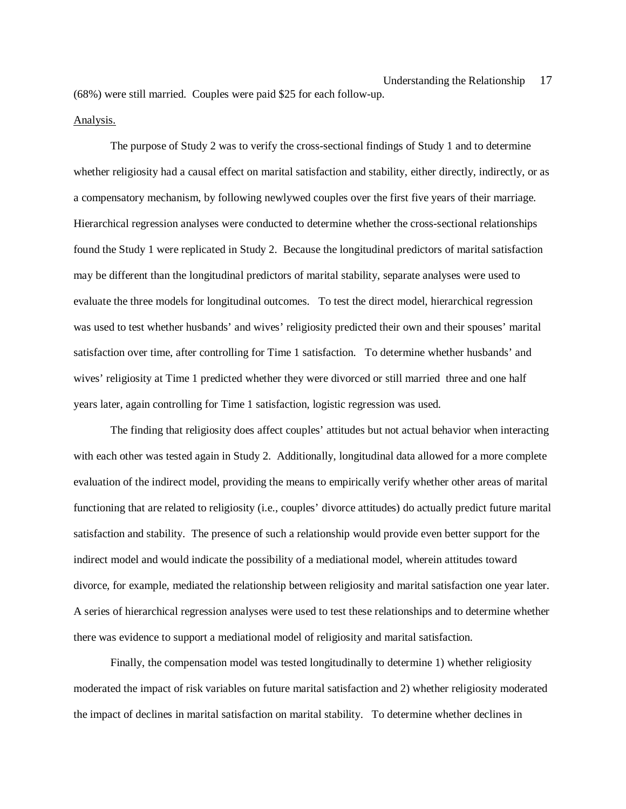### Analysis.

The purpose of Study 2 was to verify the cross-sectional findings of Study 1 and to determine whether religiosity had a causal effect on marital satisfaction and stability, either directly, indirectly, or as a compensatory mechanism, by following newlywed couples over the first five years of their marriage. Hierarchical regression analyses were conducted to determine whether the cross-sectional relationships found the Study 1 were replicated in Study 2. Because the longitudinal predictors of marital satisfaction may be different than the longitudinal predictors of marital stability, separate analyses were used to evaluate the three models for longitudinal outcomes. To test the direct model, hierarchical regression was used to test whether husbands' and wives' religiosity predicted their own and their spouses' marital satisfaction over time, after controlling for Time 1 satisfaction. To determine whether husbands' and wives' religiosity at Time 1 predicted whether they were divorced or still married three and one half years later, again controlling for Time 1 satisfaction, logistic regression was used.

The finding that religiosity does affect couples' attitudes but not actual behavior when interacting with each other was tested again in Study 2. Additionally, longitudinal data allowed for a more complete evaluation of the indirect model, providing the means to empirically verify whether other areas of marital functioning that are related to religiosity (i.e., couples' divorce attitudes) do actually predict future marital satisfaction and stability. The presence of such a relationship would provide even better support for the indirect model and would indicate the possibility of a mediational model, wherein attitudes toward divorce, for example, mediated the relationship between religiosity and marital satisfaction one year later. A series of hierarchical regression analyses were used to test these relationships and to determine whether there was evidence to support a mediational model of religiosity and marital satisfaction.

Finally, the compensation model was tested longitudinally to determine 1) whether religiosity moderated the impact of risk variables on future marital satisfaction and 2) whether religiosity moderated the impact of declines in marital satisfaction on marital stability. To determine whether declines in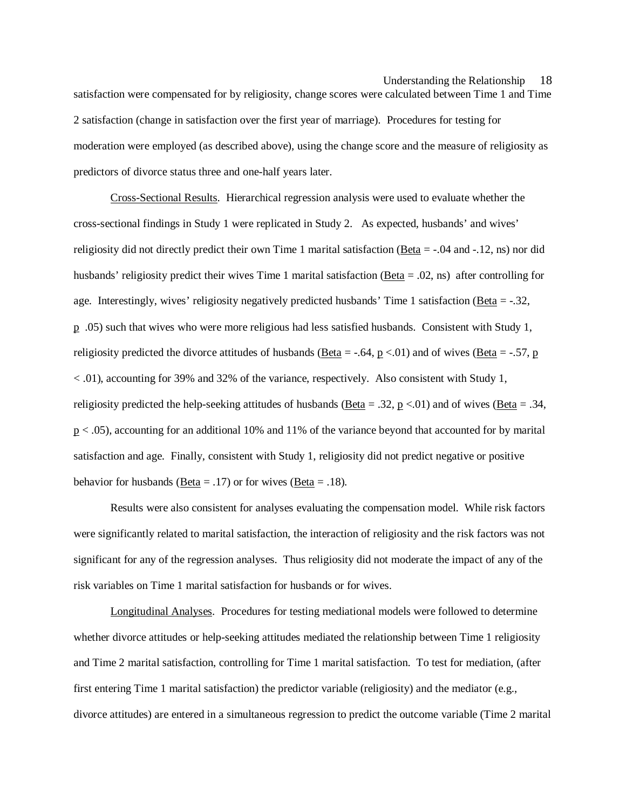satisfaction were compensated for by religiosity, change scores were calculated between Time 1 and Time 2 satisfaction (change in satisfaction over the first year of marriage). Procedures for testing for moderation were employed (as described above), using the change score and the measure of religiosity as predictors of divorce status three and one-half years later.

Cross-Sectional Results. Hierarchical regression analysis were used to evaluate whether the cross-sectional findings in Study 1 were replicated in Study 2. As expected, husbands' and wives' religiosity did not directly predict their own Time 1 marital satisfaction ( $Beta = -0.04$  and  $-0.12$ , ns) nor did husbands' religiosity predict their wives Time 1 marital satisfaction ( $\text{Beta} = .02$ , ns) after controlling for age. Interestingly, wives' religiosity negatively predicted husbands' Time 1 satisfaction (Beta  $=$  -.32, p .05) such that wives who were more religious had less satisfied husbands. Consistent with Study 1, religiosity predicted the divorce attitudes of husbands ( $\underline{Beta} = -.64$ ,  $\underline{p} < .01$ ) and of wives ( $\underline{Beta} = -.57$ ,  $\underline{p}$ < .01), accounting for 39% and 32% of the variance, respectively. Also consistent with Study 1, religiosity predicted the help-seeking attitudes of husbands ( $\underline{Beta} = .32$ ,  $\underline{p} < .01$ ) and of wives ( $\underline{Beta} = .34$ , p < .05), accounting for an additional 10% and 11% of the variance beyond that accounted for by marital satisfaction and age. Finally, consistent with Study 1, religiosity did not predict negative or positive behavior for husbands (Beta = .17) or for wives (Beta = .18).

Results were also consistent for analyses evaluating the compensation model. While risk factors were significantly related to marital satisfaction, the interaction of religiosity and the risk factors was not significant for any of the regression analyses. Thus religiosity did not moderate the impact of any of the risk variables on Time 1 marital satisfaction for husbands or for wives.

Longitudinal Analyses. Procedures for testing mediational models were followed to determine whether divorce attitudes or help-seeking attitudes mediated the relationship between Time 1 religiosity and Time 2 marital satisfaction, controlling for Time 1 marital satisfaction. To test for mediation, (after first entering Time 1 marital satisfaction) the predictor variable (religiosity) and the mediator (e.g., divorce attitudes) are entered in a simultaneous regression to predict the outcome variable (Time 2 marital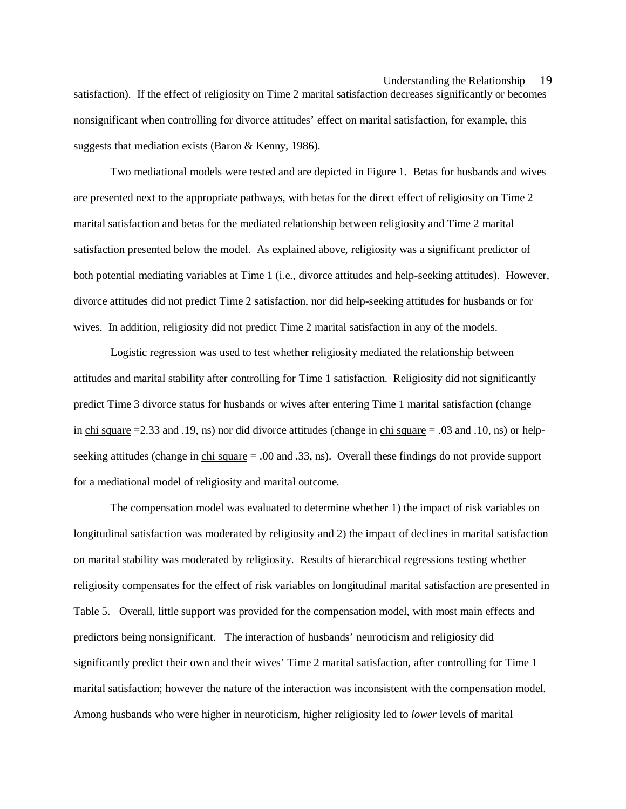satisfaction). If the effect of religiosity on Time 2 marital satisfaction decreases significantly or becomes nonsignificant when controlling for divorce attitudes' effect on marital satisfaction, for example, this suggests that mediation exists (Baron & Kenny, 1986).

Two mediational models were tested and are depicted in Figure 1. Betas for husbands and wives are presented next to the appropriate pathways, with betas for the direct effect of religiosity on Time 2 marital satisfaction and betas for the mediated relationship between religiosity and Time 2 marital satisfaction presented below the model. As explained above, religiosity was a significant predictor of both potential mediating variables at Time 1 (i.e., divorce attitudes and help-seeking attitudes). However, divorce attitudes did not predict Time 2 satisfaction, nor did help-seeking attitudes for husbands or for wives. In addition, religiosity did not predict Time 2 marital satisfaction in any of the models.

Logistic regression was used to test whether religiosity mediated the relationship between attitudes and marital stability after controlling for Time 1 satisfaction. Religiosity did not significantly predict Time 3 divorce status for husbands or wives after entering Time 1 marital satisfaction (change in chi square =2.33 and .19, ns) nor did divorce attitudes (change in chi square = .03 and .10, ns) or helpseeking attitudes (change in chi square = .00 and .33, ns). Overall these findings do not provide support for a mediational model of religiosity and marital outcome.

The compensation model was evaluated to determine whether 1) the impact of risk variables on longitudinal satisfaction was moderated by religiosity and 2) the impact of declines in marital satisfaction on marital stability was moderated by religiosity. Results of hierarchical regressions testing whether religiosity compensates for the effect of risk variables on longitudinal marital satisfaction are presented in Table 5. Overall, little support was provided for the compensation model, with most main effects and predictors being nonsignificant. The interaction of husbands' neuroticism and religiosity did significantly predict their own and their wives' Time 2 marital satisfaction, after controlling for Time 1 marital satisfaction; however the nature of the interaction was inconsistent with the compensation model. Among husbands who were higher in neuroticism, higher religiosity led to *lower* levels of marital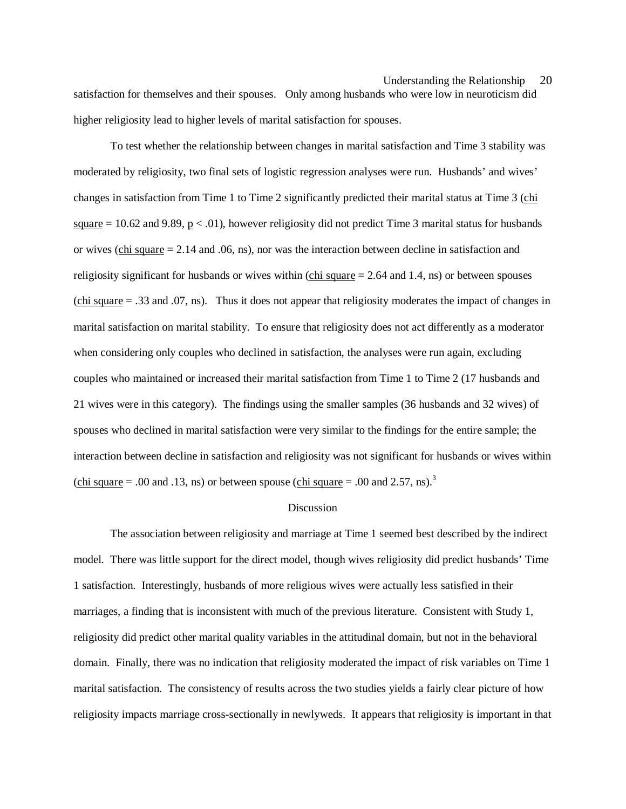satisfaction for themselves and their spouses. Only among husbands who were low in neuroticism did higher religiosity lead to higher levels of marital satisfaction for spouses.

To test whether the relationship between changes in marital satisfaction and Time 3 stability was moderated by religiosity, two final sets of logistic regression analyses were run. Husbands' and wives' changes in satisfaction from Time 1 to Time 2 significantly predicted their marital status at Time 3 (chi square = 10.62 and 9.89, p  $\lt$  0.01), however religiosity did not predict Time 3 marital status for husbands or wives (chi square  $= 2.14$  and .06, ns), nor was the interaction between decline in satisfaction and religiosity significant for husbands or wives within  $\left(\frac{\text{chi square}}{\text{chi square}}\right) = 2.64$  and 1.4, ns) or between spouses (chi square = .33 and .07, ns). Thus it does not appear that religiosity moderates the impact of changes in marital satisfaction on marital stability. To ensure that religiosity does not act differently as a moderator when considering only couples who declined in satisfaction, the analyses were run again, excluding couples who maintained or increased their marital satisfaction from Time 1 to Time 2 (17 husbands and 21 wives were in this category). The findings using the smaller samples (36 husbands and 32 wives) of spouses who declined in marital satisfaction were very similar to the findings for the entire sample; the interaction between decline in satisfaction and religiosity was not significant for husbands or wives within (chi square  $= .00$  and .13, ns) or between spouse (chi square  $= .00$  and 2.57, ns).<sup>3</sup>

#### Discussion

The association between religiosity and marriage at Time 1 seemed best described by the indirect model. There was little support for the direct model, though wives religiosity did predict husbands' Time 1 satisfaction. Interestingly, husbands of more religious wives were actually less satisfied in their marriages, a finding that is inconsistent with much of the previous literature. Consistent with Study 1, religiosity did predict other marital quality variables in the attitudinal domain, but not in the behavioral domain. Finally, there was no indication that religiosity moderated the impact of risk variables on Time 1 marital satisfaction. The consistency of results across the two studies yields a fairly clear picture of how religiosity impacts marriage cross-sectionally in newlyweds. It appears that religiosity is important in that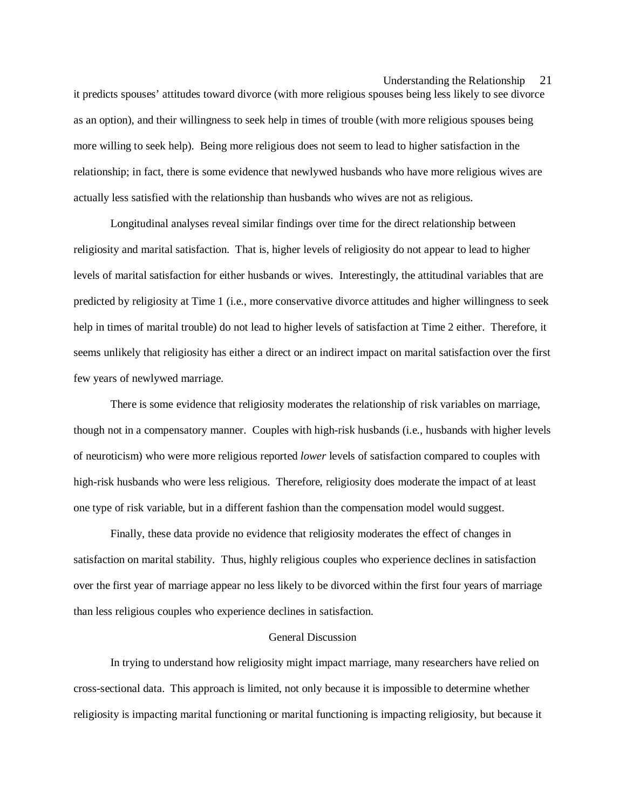it predicts spouses' attitudes toward divorce (with more religious spouses being less likely to see divorce as an option), and their willingness to seek help in times of trouble (with more religious spouses being more willing to seek help). Being more religious does not seem to lead to higher satisfaction in the relationship; in fact, there is some evidence that newlywed husbands who have more religious wives are actually less satisfied with the relationship than husbands who wives are not as religious.

Longitudinal analyses reveal similar findings over time for the direct relationship between religiosity and marital satisfaction. That is, higher levels of religiosity do not appear to lead to higher levels of marital satisfaction for either husbands or wives. Interestingly, the attitudinal variables that are predicted by religiosity at Time 1 (i.e., more conservative divorce attitudes and higher willingness to seek help in times of marital trouble) do not lead to higher levels of satisfaction at Time 2 either. Therefore, it seems unlikely that religiosity has either a direct or an indirect impact on marital satisfaction over the first few years of newlywed marriage.

There is some evidence that religiosity moderates the relationship of risk variables on marriage, though not in a compensatory manner. Couples with high-risk husbands (i.e., husbands with higher levels of neuroticism) who were more religious reported *lower* levels of satisfaction compared to couples with high-risk husbands who were less religious. Therefore, religiosity does moderate the impact of at least one type of risk variable, but in a different fashion than the compensation model would suggest.

Finally, these data provide no evidence that religiosity moderates the effect of changes in satisfaction on marital stability. Thus, highly religious couples who experience declines in satisfaction over the first year of marriage appear no less likely to be divorced within the first four years of marriage than less religious couples who experience declines in satisfaction.

#### General Discussion

In trying to understand how religiosity might impact marriage, many researchers have relied on cross-sectional data. This approach is limited, not only because it is impossible to determine whether religiosity is impacting marital functioning or marital functioning is impacting religiosity, but because it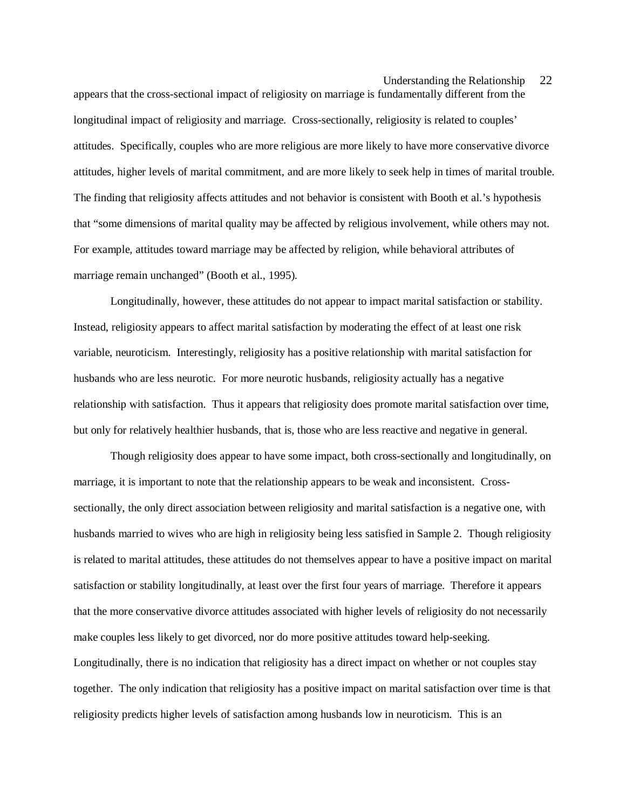appears that the cross-sectional impact of religiosity on marriage is fundamentally different from the longitudinal impact of religiosity and marriage. Cross-sectionally, religiosity is related to couples' attitudes. Specifically, couples who are more religious are more likely to have more conservative divorce attitudes, higher levels of marital commitment, and are more likely to seek help in times of marital trouble. The finding that religiosity affects attitudes and not behavior is consistent with Booth et al.'s hypothesis that "some dimensions of marital quality may be affected by religious involvement, while others may not. For example, attitudes toward marriage may be affected by religion, while behavioral attributes of marriage remain unchanged" (Booth et al., 1995).

Longitudinally, however, these attitudes do not appear to impact marital satisfaction or stability. Instead, religiosity appears to affect marital satisfaction by moderating the effect of at least one risk variable, neuroticism. Interestingly, religiosity has a positive relationship with marital satisfaction for husbands who are less neurotic. For more neurotic husbands, religiosity actually has a negative relationship with satisfaction. Thus it appears that religiosity does promote marital satisfaction over time, but only for relatively healthier husbands, that is, those who are less reactive and negative in general.

Though religiosity does appear to have some impact, both cross-sectionally and longitudinally, on marriage, it is important to note that the relationship appears to be weak and inconsistent. Crosssectionally, the only direct association between religiosity and marital satisfaction is a negative one, with husbands married to wives who are high in religiosity being less satisfied in Sample 2. Though religiosity is related to marital attitudes, these attitudes do not themselves appear to have a positive impact on marital satisfaction or stability longitudinally, at least over the first four years of marriage. Therefore it appears that the more conservative divorce attitudes associated with higher levels of religiosity do not necessarily make couples less likely to get divorced, nor do more positive attitudes toward help-seeking. Longitudinally, there is no indication that religiosity has a direct impact on whether or not couples stay together. The only indication that religiosity has a positive impact on marital satisfaction over time is that religiosity predicts higher levels of satisfaction among husbands low in neuroticism. This is an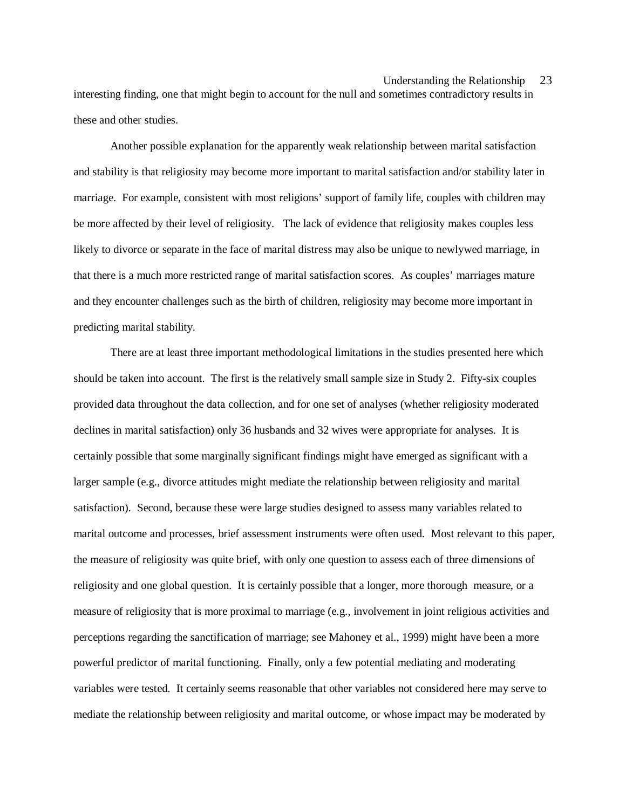interesting finding, one that might begin to account for the null and sometimes contradictory results in these and other studies.

Another possible explanation for the apparently weak relationship between marital satisfaction and stability is that religiosity may become more important to marital satisfaction and/or stability later in marriage. For example, consistent with most religions' support of family life, couples with children may be more affected by their level of religiosity. The lack of evidence that religiosity makes couples less likely to divorce or separate in the face of marital distress may also be unique to newlywed marriage, in that there is a much more restricted range of marital satisfaction scores. As couples' marriages mature and they encounter challenges such as the birth of children, religiosity may become more important in predicting marital stability.

There are at least three important methodological limitations in the studies presented here which should be taken into account. The first is the relatively small sample size in Study 2. Fifty-six couples provided data throughout the data collection, and for one set of analyses (whether religiosity moderated declines in marital satisfaction) only 36 husbands and 32 wives were appropriate for analyses. It is certainly possible that some marginally significant findings might have emerged as significant with a larger sample (e.g., divorce attitudes might mediate the relationship between religiosity and marital satisfaction). Second, because these were large studies designed to assess many variables related to marital outcome and processes, brief assessment instruments were often used. Most relevant to this paper, the measure of religiosity was quite brief, with only one question to assess each of three dimensions of religiosity and one global question. It is certainly possible that a longer, more thorough measure, or a measure of religiosity that is more proximal to marriage (e.g., involvement in joint religious activities and perceptions regarding the sanctification of marriage; see Mahoney et al., 1999) might have been a more powerful predictor of marital functioning. Finally, only a few potential mediating and moderating variables were tested. It certainly seems reasonable that other variables not considered here may serve to mediate the relationship between religiosity and marital outcome, or whose impact may be moderated by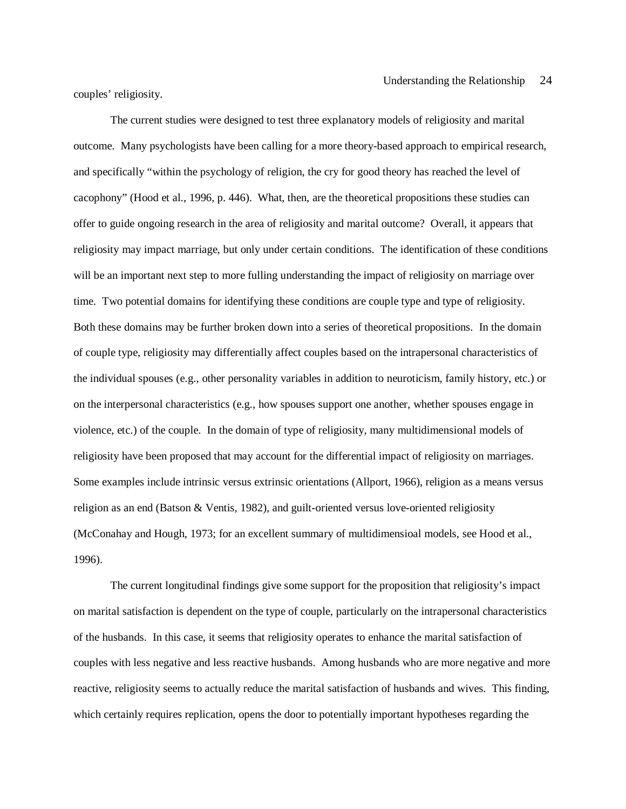couples' religiosity.

The current studies were designed to test three explanatory models of religiosity and marital outcome. Many psychologists have been calling for a more theory-based approach to empirical research, and specifically "within the psychology of religion, the cry for good theory has reached the level of cacophony" (Hood et al., 1996, p. 446). What, then, are the theoretical propositions these studies can offer to guide ongoing research in the area of religiosity and marital outcome? Overall, it appears that religiosity may impact marriage, but only under certain conditions. The identification of these conditions will be an important next step to more fulling understanding the impact of religiosity on marriage over time. Two potential domains for identifying these conditions are couple type and type of religiosity. Both these domains may be further broken down into a series of theoretical propositions. In the domain of couple type, religiosity may differentially affect couples based on the intrapersonal characteristics of the individual spouses (e.g., other personality variables in addition to neuroticism, family history, etc.) or on the interpersonal characteristics (e.g., how spouses support one another, whether spouses engage in violence, etc.) of the couple. In the domain of type of religiosity, many multidimensional models of religiosity have been proposed that may account for the differential impact of religiosity on marriages. Some examples include intrinsic versus extrinsic orientations (Allport, 1966), religion as a means versus religion as an end (Batson & Ventis, 1982), and guilt-oriented versus love-oriented religiosity (McConahay and Hough, 1973; for an excellent summary of multidimensioal models, see Hood et al., 1996).

The current longitudinal findings give some support for the proposition that religiosity's impact on marital satisfaction is dependent on the type of couple, particularly on the intrapersonal characteristics of the husbands. In this case, it seems that religiosity operates to enhance the marital satisfaction of couples with less negative and less reactive husbands. Among husbands who are more negative and more reactive, religiosity seems to actually reduce the marital satisfaction of husbands and wives. This finding, which certainly requires replication, opens the door to potentially important hypotheses regarding the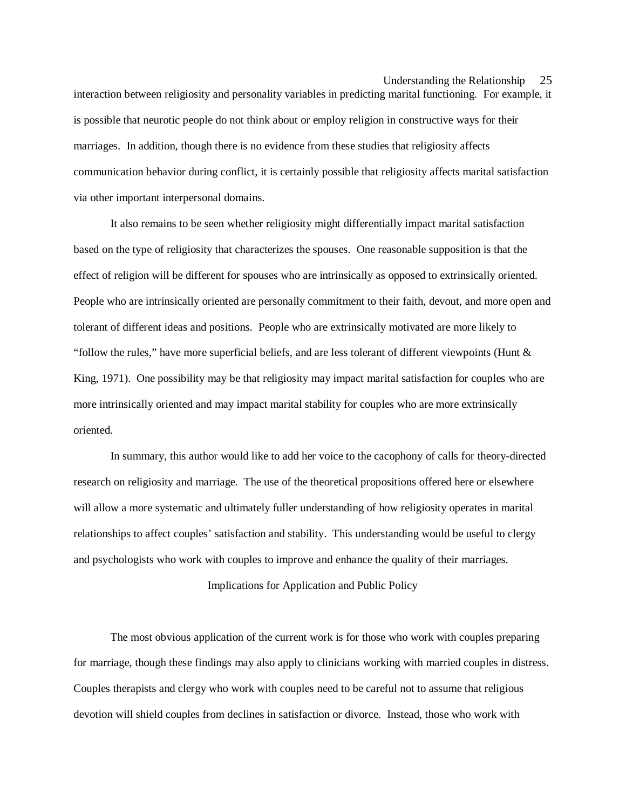interaction between religiosity and personality variables in predicting marital functioning. For example, it is possible that neurotic people do not think about or employ religion in constructive ways for their marriages. In addition, though there is no evidence from these studies that religiosity affects communication behavior during conflict, it is certainly possible that religiosity affects marital satisfaction via other important interpersonal domains.

It also remains to be seen whether religiosity might differentially impact marital satisfaction based on the type of religiosity that characterizes the spouses. One reasonable supposition is that the effect of religion will be different for spouses who are intrinsically as opposed to extrinsically oriented. People who are intrinsically oriented are personally commitment to their faith, devout, and more open and tolerant of different ideas and positions. People who are extrinsically motivated are more likely to "follow the rules," have more superficial beliefs, and are less tolerant of different viewpoints (Hunt  $\&$ King, 1971). One possibility may be that religiosity may impact marital satisfaction for couples who are more intrinsically oriented and may impact marital stability for couples who are more extrinsically oriented.

In summary, this author would like to add her voice to the cacophony of calls for theory-directed research on religiosity and marriage. The use of the theoretical propositions offered here or elsewhere will allow a more systematic and ultimately fuller understanding of how religiosity operates in marital relationships to affect couples' satisfaction and stability. This understanding would be useful to clergy and psychologists who work with couples to improve and enhance the quality of their marriages.

Implications for Application and Public Policy

The most obvious application of the current work is for those who work with couples preparing for marriage, though these findings may also apply to clinicians working with married couples in distress. Couples therapists and clergy who work with couples need to be careful not to assume that religious devotion will shield couples from declines in satisfaction or divorce. Instead, those who work with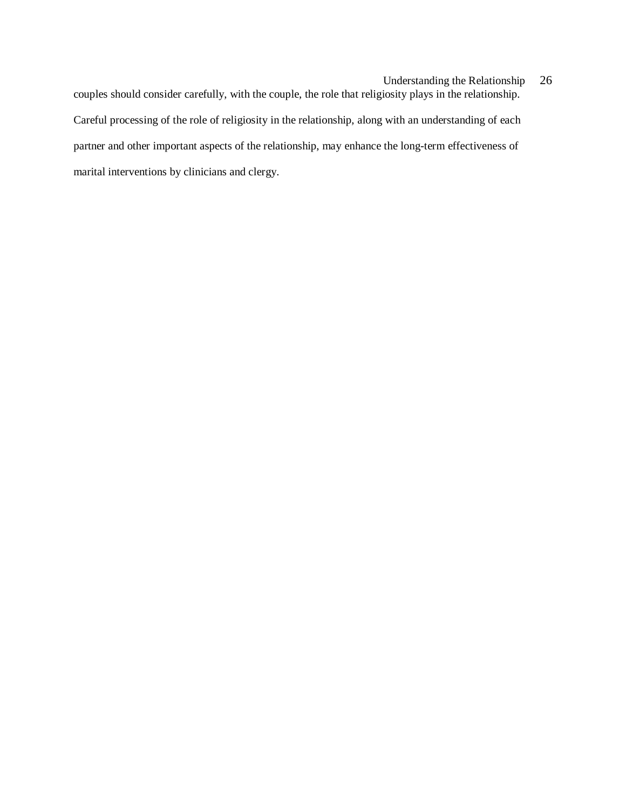couples should consider carefully, with the couple, the role that religiosity plays in the relationship. Careful processing of the role of religiosity in the relationship, along with an understanding of each partner and other important aspects of the relationship, may enhance the long-term effectiveness of marital interventions by clinicians and clergy.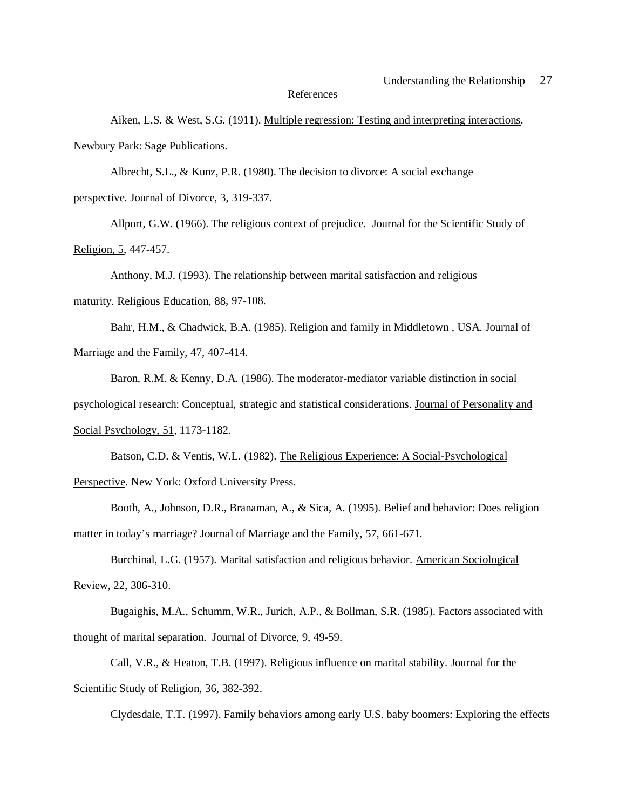#### References

Aiken, L.S. & West, S.G. (1911). Multiple regression: Testing and interpreting interactions. Newbury Park: Sage Publications.

Albrecht, S.L., & Kunz, P.R. (1980). The decision to divorce: A social exchange

perspective. Journal of Divorce, 3, 319-337.

Allport, G.W. (1966). The religious context of prejudice. Journal for the Scientific Study of Religion, 5, 447-457.

Anthony, M.J. (1993). The relationship between marital satisfaction and religious maturity. Religious Education, 88, 97-108.

Bahr, H.M., & Chadwick, B.A. (1985). Religion and family in Middletown , USA. Journal of Marriage and the Family, 47, 407-414.

Baron, R.M. & Kenny, D.A. (1986). The moderator-mediator variable distinction in social psychological research: Conceptual, strategic and statistical considerations. Journal of Personality and Social Psychology, 51, 1173-1182.

Batson, C.D. & Ventis, W.L. (1982). The Religious Experience: A Social-Psychological Perspective. New York: Oxford University Press.

Booth, A., Johnson, D.R., Branaman, A., & Sica, A. (1995). Belief and behavior: Does religion matter in today's marriage? Journal of Marriage and the Family, 57, 661-671.

Burchinal, L.G. (1957). Marital satisfaction and religious behavior. American Sociological Review, 22, 306-310.

Bugaighis, M.A., Schumm, W.R., Jurich, A.P., & Bollman, S.R. (1985). Factors associated with thought of marital separation. Journal of Divorce, 9, 49-59.

Call, V.R., & Heaton, T.B. (1997). Religious influence on marital stability. Journal for the Scientific Study of Religion, 36, 382-392.

Clydesdale, T.T. (1997). Family behaviors among early U.S. baby boomers: Exploring the effects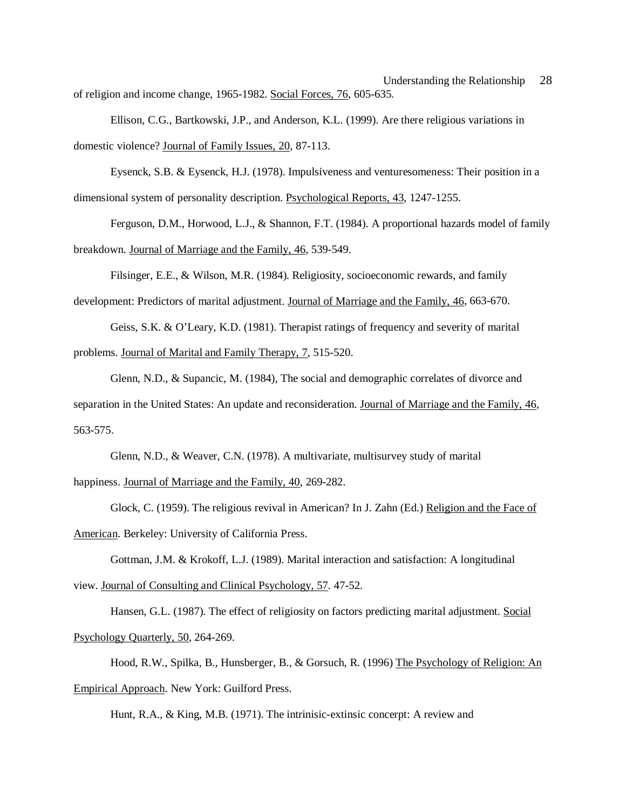Understanding the Relationship 28 of religion and income change, 1965-1982. Social Forces, 76, 605-635.

Ellison, C.G., Bartkowski, J.P., and Anderson, K.L. (1999). Are there religious variations in domestic violence? Journal of Family Issues, 20, 87-113.

Eysenck, S.B. & Eysenck, H.J. (1978). Impulsiveness and venturesomeness: Their position in a dimensional system of personality description. Psychological Reports, 43, 1247-1255.

Ferguson, D.M., Horwood, L.J., & Shannon, F.T. (1984). A proportional hazards model of family breakdown. Journal of Marriage and the Family, 46, 539-549.

Filsinger, E.E., & Wilson, M.R. (1984). Religiosity, socioeconomic rewards, and family development: Predictors of marital adjustment. Journal of Marriage and the Family, 46, 663-670.

Geiss, S.K. & O'Leary, K.D. (1981). Therapist ratings of frequency and severity of marital problems. Journal of Marital and Family Therapy, 7, 515-520.

Glenn, N.D., & Supancic, M. (1984), The social and demographic correlates of divorce and separation in the United States: An update and reconsideration. Journal of Marriage and the Family, 46, 563-575.

Glenn, N.D., & Weaver, C.N. (1978). A multivariate, multisurvey study of marital happiness. Journal of Marriage and the Family, 40, 269-282.

Glock, C. (1959). The religious revival in American? In J. Zahn (Ed.) Religion and the Face of American. Berkeley: University of California Press.

Gottman, J.M. & Krokoff, L.J. (1989). Marital interaction and satisfaction: A longitudinal view. Journal of Consulting and Clinical Psychology, 57. 47-52.

Hansen, G.L. (1987). The effect of religiosity on factors predicting marital adjustment. Social Psychology Quarterly, 50, 264-269.

Hood, R.W., Spilka, B., Hunsberger, B., & Gorsuch, R. (1996) The Psychology of Religion: An Empirical Approach. New York: Guilford Press.

Hunt, R.A., & King, M.B. (1971). The intrinisic-extinsic concerpt: A review and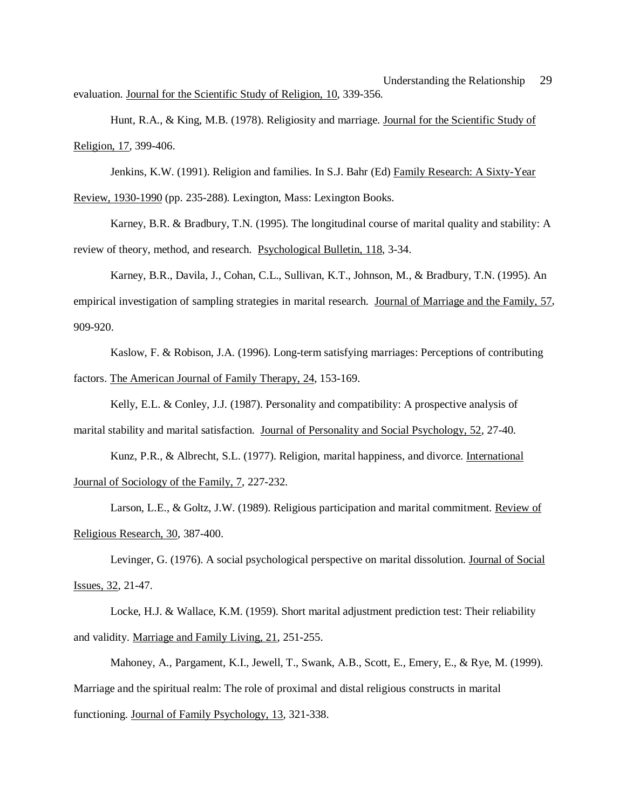Understanding the Relationship 29 evaluation. Journal for the Scientific Study of Religion, 10, 339-356.

Hunt, R.A., & King, M.B. (1978). Religiosity and marriage. Journal for the Scientific Study of Religion, 17, 399-406.

Jenkins, K.W. (1991). Religion and families. In S.J. Bahr (Ed) Family Research: A Sixty-Year Review, 1930-1990 (pp. 235-288). Lexington, Mass: Lexington Books.

Karney, B.R. & Bradbury, T.N. (1995). The longitudinal course of marital quality and stability: A review of theory, method, and research. Psychological Bulletin, 118, 3-34.

Karney, B.R., Davila, J., Cohan, C.L., Sullivan, K.T., Johnson, M., & Bradbury, T.N. (1995). An empirical investigation of sampling strategies in marital research. Journal of Marriage and the Family, 57, 909-920.

Kaslow, F. & Robison, J.A. (1996). Long-term satisfying marriages: Perceptions of contributing factors. The American Journal of Family Therapy, 24, 153-169.

Kelly, E.L. & Conley, J.J. (1987). Personality and compatibility: A prospective analysis of marital stability and marital satisfaction. Journal of Personality and Social Psychology, 52, 27-40.

Kunz, P.R., & Albrecht, S.L. (1977). Religion, marital happiness, and divorce. International Journal of Sociology of the Family, 7, 227-232.

Larson, L.E., & Goltz, J.W. (1989). Religious participation and marital commitment. Review of Religious Research, 30, 387-400.

Levinger, G. (1976). A social psychological perspective on marital dissolution. Journal of Social Issues, 32, 21-47.

Locke, H.J. & Wallace, K.M. (1959). Short marital adjustment prediction test: Their reliability and validity. Marriage and Family Living, 21, 251-255.

Mahoney, A., Pargament, K.I., Jewell, T., Swank, A.B., Scott, E., Emery, E., & Rye, M. (1999). Marriage and the spiritual realm: The role of proximal and distal religious constructs in marital functioning. Journal of Family Psychology, 13, 321-338.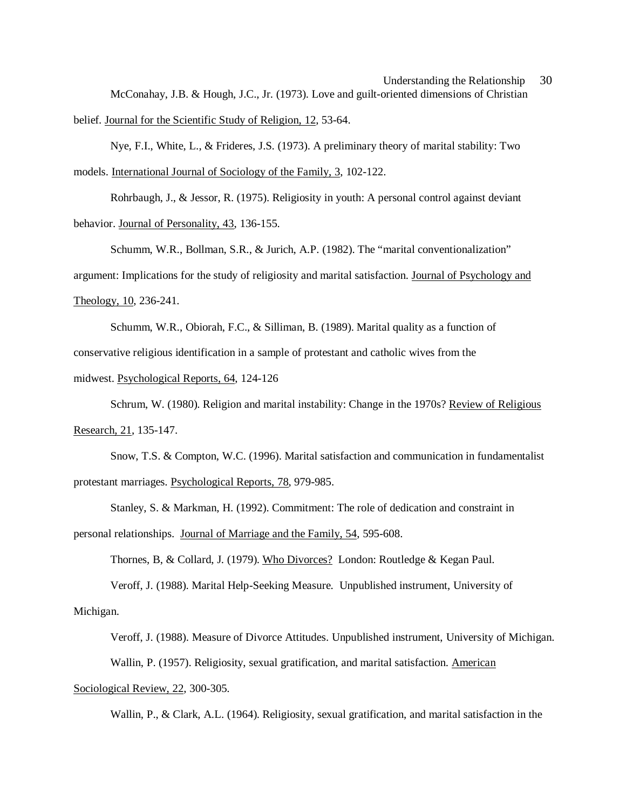# Understanding the Relationship 30 McConahay, J.B. & Hough, J.C., Jr. (1973). Love and guilt-oriented dimensions of Christian

belief. Journal for the Scientific Study of Religion, 12, 53-64.

Nye, F.I., White, L., & Frideres, J.S. (1973). A preliminary theory of marital stability: Two models. International Journal of Sociology of the Family, 3, 102-122.

Rohrbaugh, J., & Jessor, R. (1975). Religiosity in youth: A personal control against deviant behavior. Journal of Personality, 43, 136-155.

Schumm, W.R., Bollman, S.R., & Jurich, A.P. (1982). The "marital conventionalization" argument: Implications for the study of religiosity and marital satisfaction. Journal of Psychology and Theology, 10, 236-241.

Schumm, W.R., Obiorah, F.C., & Silliman, B. (1989). Marital quality as a function of conservative religious identification in a sample of protestant and catholic wives from the

midwest. Psychological Reports, 64, 124-126

Schrum, W. (1980). Religion and marital instability: Change in the 1970s? Review of Religious Research, 21, 135-147.

Snow, T.S. & Compton, W.C. (1996). Marital satisfaction and communication in fundamentalist protestant marriages. Psychological Reports, 78, 979-985.

Stanley, S. & Markman, H. (1992). Commitment: The role of dedication and constraint in personal relationships. Journal of Marriage and the Family, 54, 595-608.

Thornes, B, & Collard, J. (1979). Who Divorces? London: Routledge & Kegan Paul.

Veroff, J. (1988). Marital Help-Seeking Measure. Unpublished instrument, University of

Michigan.

Veroff, J. (1988). Measure of Divorce Attitudes. Unpublished instrument, University of Michigan. Wallin, P. (1957). Religiosity, sexual gratification, and marital satisfaction. American Sociological Review, 22, 300-305.

Wallin, P., & Clark, A.L. (1964). Religiosity, sexual gratification, and marital satisfaction in the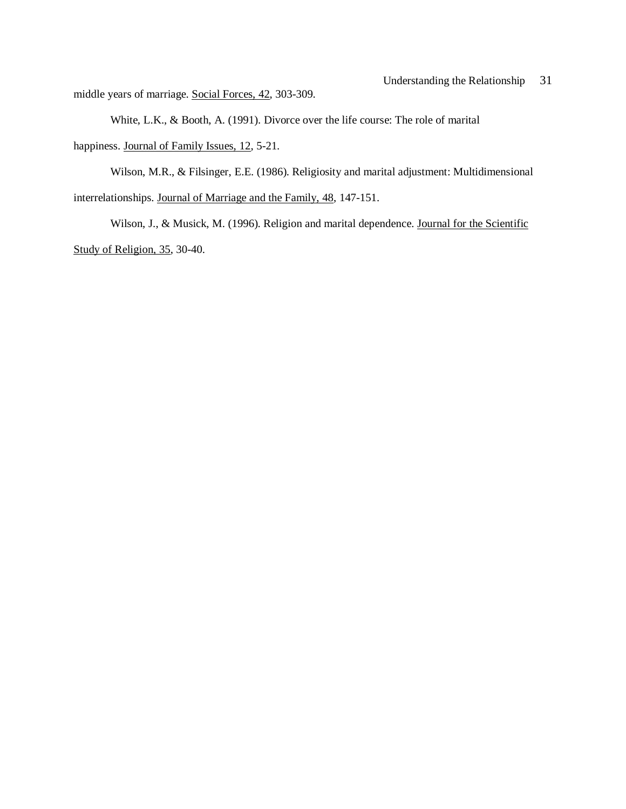middle years of marriage. Social Forces, 42, 303-309.

White, L.K., & Booth, A. (1991). Divorce over the life course: The role of marital happiness. Journal of Family Issues, 12, 5-21.

Wilson, M.R., & Filsinger, E.E. (1986). Religiosity and marital adjustment: Multidimensional interrelationships. Journal of Marriage and the Family, 48, 147-151.

Wilson, J., & Musick, M. (1996). Religion and marital dependence. Journal for the Scientific Study of Religion, 35, 30-40.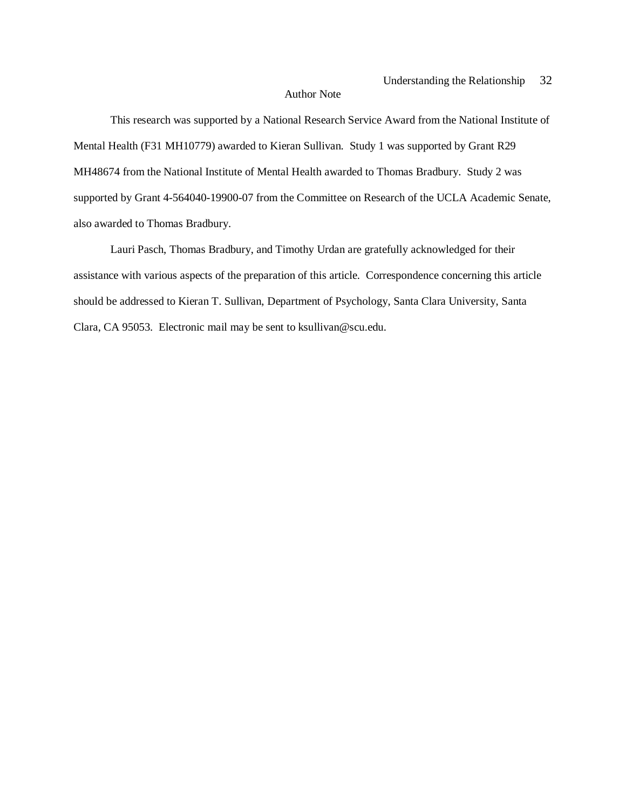#### Author Note

This research was supported by a National Research Service Award from the National Institute of Mental Health (F31 MH10779) awarded to Kieran Sullivan. Study 1 was supported by Grant R29 MH48674 from the National Institute of Mental Health awarded to Thomas Bradbury. Study 2 was supported by Grant 4-564040-19900-07 from the Committee on Research of the UCLA Academic Senate, also awarded to Thomas Bradbury.

Lauri Pasch, Thomas Bradbury, and Timothy Urdan are gratefully acknowledged for their assistance with various aspects of the preparation of this article. Correspondence concerning this article should be addressed to Kieran T. Sullivan, Department of Psychology, Santa Clara University, Santa Clara, CA 95053. Electronic mail may be sent to ksullivan@scu.edu.